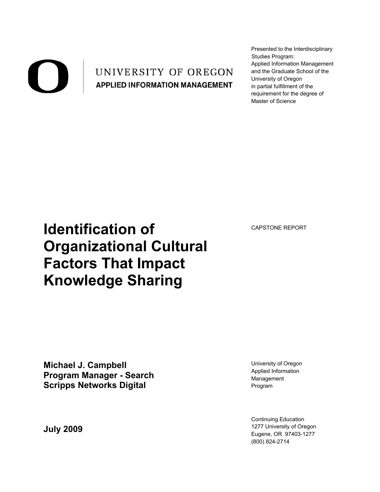### UNIVERSITY OF OREGON **APPLIED INFORMATION MANAGEMENT**

Presented to the Interdisciplinary Studies Program: Applied Information Management and the Graduate School of the University of Oregon in partial fulfillment of the requirement for the degree of Master of Science

CAPSTONE REPORT

# **Identification of Organizational Cultural Factors That Impact Knowledge Sharing**

**Michael J. Campbell Program Manager - Search Scripps Networks Digital**

**July 2009**

University of Oregon Applied Information Management Program

Continuing Education 1277 University of Oregon Eugene, OR 97403-1277 (800) 824-2714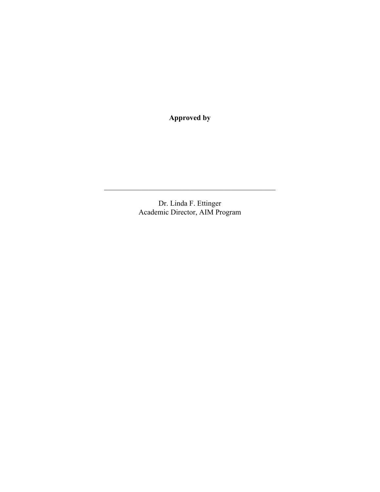**Approved by**

Dr. Linda F. Ettinger Academic Director, AIM Program

 $\mathcal{L}_\text{max}$  and the contract of the contract of the contract of the contract of the contract of the contract of the contract of the contract of the contract of the contract of the contract of the contract of the contrac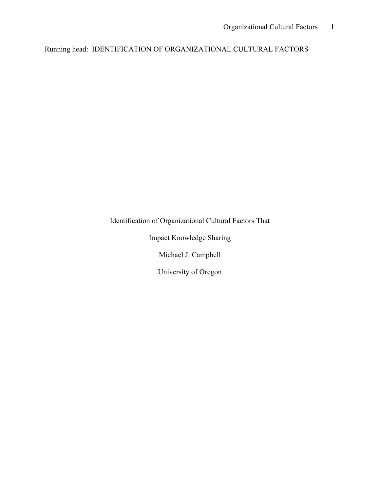Running head: IDENTIFICATION OF ORGANIZATIONAL CULTURAL FACTORS

Identification of Organizational Cultural Factors That

Impact Knowledge Sharing

Michael J. Campbell

University of Oregon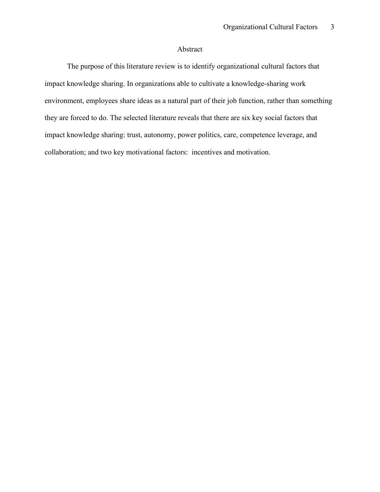### Abstract

The purpose of this literature review is to identify organizational cultural factors that impact knowledge sharing. In organizations able to cultivate a knowledge-sharing work environment, employees share ideas as a natural part of their job function, rather than something they are forced to do. The selected literature reveals that there are six key social factors that impact knowledge sharing: trust, autonomy, power politics, care, competence leverage, and collaboration; and two key motivational factors: incentives and motivation.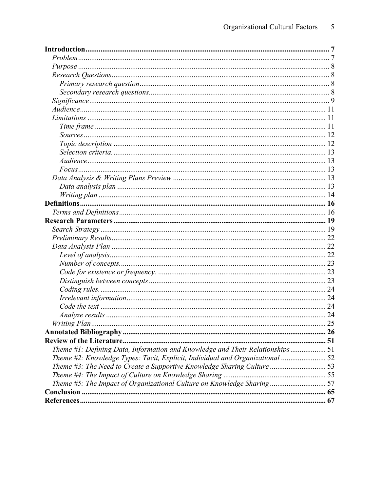|                                                                               | $\ldots$ 25 |
|-------------------------------------------------------------------------------|-------------|
|                                                                               |             |
|                                                                               |             |
| Theme #1: Defining Data, Information and Knowledge and Their Relationships 51 |             |
| Theme #2: Knowledge Types: Tacit, Explicit, Individual and Organizational  52 |             |
|                                                                               |             |
|                                                                               |             |
| Theme #5: The Impact of Organizational Culture on Knowledge Sharing 57        |             |
|                                                                               |             |
|                                                                               |             |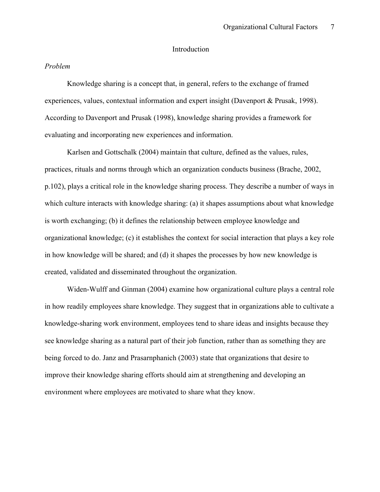#### Introduction

#### *Problem*

Knowledge sharing is a concept that, in general, refers to the exchange of framed experiences, values, contextual information and expert insight (Davenport & Prusak, 1998). According to Davenport and Prusak (1998), knowledge sharing provides a framework for evaluating and incorporating new experiences and information.

Karlsen and Gottschalk (2004) maintain that culture, defined as the values, rules, practices, rituals and norms through which an organization conducts business (Brache, 2002, p.102), plays a critical role in the knowledge sharing process. They describe a number of ways in which culture interacts with knowledge sharing: (a) it shapes assumptions about what knowledge is worth exchanging; (b) it defines the relationship between employee knowledge and organizational knowledge; (c) it establishes the context for social interaction that plays a key role in how knowledge will be shared; and (d) it shapes the processes by how new knowledge is created, validated and disseminated throughout the organization.

Widen-Wulff and Ginman (2004) examine how organizational culture plays a central role in how readily employees share knowledge. They suggest that in organizations able to cultivate a knowledge-sharing work environment, employees tend to share ideas and insights because they see knowledge sharing as a natural part of their job function, rather than as something they are being forced to do. Janz and Prasarnphanich (2003) state that organizations that desire to improve their knowledge sharing efforts should aim at strengthening and developing an environment where employees are motivated to share what they know.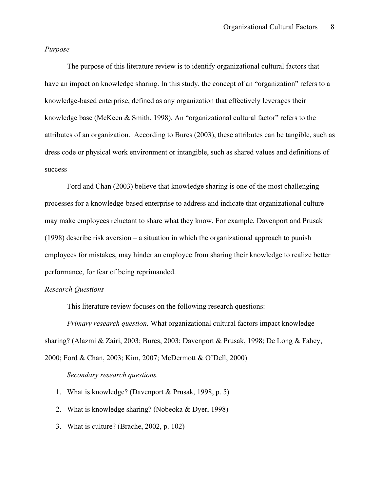#### *Purpose*

The purpose of this literature review is to identify organizational cultural factors that have an impact on knowledge sharing. In this study, the concept of an "organization" refers to a knowledge-based enterprise, defined as any organization that effectively leverages their knowledge base (McKeen & Smith, 1998). An "organizational cultural factor" refers to the attributes of an organization. According to Bures (2003), these attributes can be tangible, such as dress code or physical work environment or intangible, such as shared values and definitions of success

Ford and Chan (2003) believe that knowledge sharing is one of the most challenging processes for a knowledge-based enterprise to address and indicate that organizational culture may make employees reluctant to share what they know. For example, Davenport and Prusak (1998) describe risk aversion – a situation in which the organizational approach to punish employees for mistakes, may hinder an employee from sharing their knowledge to realize better performance, for fear of being reprimanded.

#### *Research Questions*

This literature review focuses on the following research questions:

*Primary research question.* What organizational cultural factors impact knowledge sharing? (Alazmi & Zairi, 2003; Bures, 2003; Davenport & Prusak, 1998; De Long & Fahey, 2000; Ford & Chan, 2003; Kim, 2007; McDermott & O'Dell, 2000)

#### *Secondary research questions.*

- 1. What is knowledge? (Davenport & Prusak, 1998, p. 5)
- 2. What is knowledge sharing? (Nobeoka & Dyer, 1998)
- 3. What is culture? (Brache, 2002, p. 102)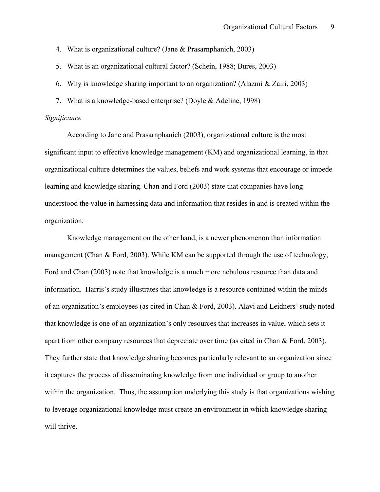- 4. What is organizational culture? (Jane & Prasarnphanich, 2003)
- 5. What is an organizational cultural factor? (Schein, 1988; Bures, 2003)
- 6. Why is knowledge sharing important to an organization? (Alazmi & Zairi, 2003)
- 7. What is a knowledge-based enterprise? (Doyle & Adeline, 1998)

#### *Significance*

According to Jane and Prasarnphanich (2003), organizational culture is the most significant input to effective knowledge management (KM) and organizational learning, in that organizational culture determines the values, beliefs and work systems that encourage or impede learning and knowledge sharing. Chan and Ford (2003) state that companies have long understood the value in harnessing data and information that resides in and is created within the organization.

Knowledge management on the other hand, is a newer phenomenon than information management (Chan & Ford, 2003). While KM can be supported through the use of technology, Ford and Chan (2003) note that knowledge is a much more nebulous resource than data and information. Harris's study illustrates that knowledge is a resource contained within the minds of an organization's employees (as cited in Chan & Ford, 2003). Alavi and Leidners' study noted that knowledge is one of an organization's only resources that increases in value, which sets it apart from other company resources that depreciate over time (as cited in Chan & Ford, 2003). They further state that knowledge sharing becomes particularly relevant to an organization since it captures the process of disseminating knowledge from one individual or group to another within the organization. Thus, the assumption underlying this study is that organizations wishing to leverage organizational knowledge must create an environment in which knowledge sharing will thrive.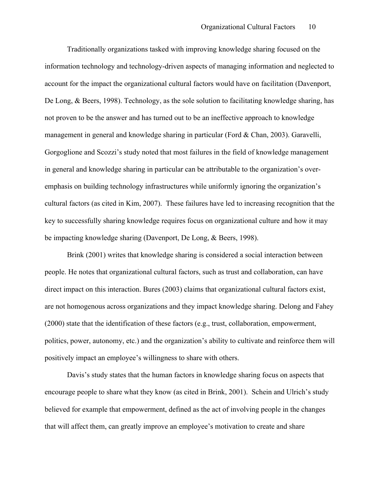Traditionally organizations tasked with improving knowledge sharing focused on the information technology and technology-driven aspects of managing information and neglected to account for the impact the organizational cultural factors would have on facilitation (Davenport, De Long, & Beers, 1998). Technology, as the sole solution to facilitating knowledge sharing, has not proven to be the answer and has turned out to be an ineffective approach to knowledge management in general and knowledge sharing in particular (Ford & Chan, 2003). Garavelli, Gorgoglione and Scozzi's study noted that most failures in the field of knowledge management in general and knowledge sharing in particular can be attributable to the organization's overemphasis on building technology infrastructures while uniformly ignoring the organization's cultural factors (as cited in Kim, 2007). These failures have led to increasing recognition that the key to successfully sharing knowledge requires focus on organizational culture and how it may be impacting knowledge sharing (Davenport, De Long, & Beers, 1998).

Brink (2001) writes that knowledge sharing is considered a social interaction between people. He notes that organizational cultural factors, such as trust and collaboration, can have direct impact on this interaction. Bures (2003) claims that organizational cultural factors exist, are not homogenous across organizations and they impact knowledge sharing. Delong and Fahey (2000) state that the identification of these factors (e.g., trust, collaboration, empowerment, politics, power, autonomy, etc.) and the organization's ability to cultivate and reinforce them will positively impact an employee's willingness to share with others.

Davis's study states that the human factors in knowledge sharing focus on aspects that encourage people to share what they know (as cited in Brink, 2001). Schein and Ulrich's study believed for example that empowerment, defined as the act of involving people in the changes that will affect them, can greatly improve an employee's motivation to create and share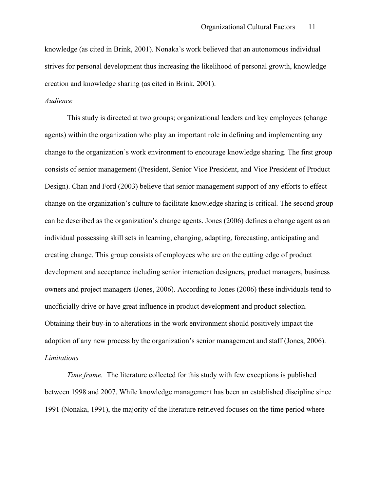knowledge (as cited in Brink, 2001). Nonaka's work believed that an autonomous individual strives for personal development thus increasing the likelihood of personal growth, knowledge creation and knowledge sharing (as cited in Brink, 2001).

#### *Audience*

This study is directed at two groups; organizational leaders and key employees (change agents) within the organization who play an important role in defining and implementing any change to the organization's work environment to encourage knowledge sharing. The first group consists of senior management (President, Senior Vice President, and Vice President of Product Design). Chan and Ford (2003) believe that senior management support of any efforts to effect change on the organization's culture to facilitate knowledge sharing is critical. The second group can be described as the organization's change agents. Jones (2006) defines a change agent as an individual possessing skill sets in learning, changing, adapting, forecasting, anticipating and creating change. This group consists of employees who are on the cutting edge of product development and acceptance including senior interaction designers, product managers, business owners and project managers (Jones, 2006). According to Jones (2006) these individuals tend to unofficially drive or have great influence in product development and product selection. Obtaining their buy-in to alterations in the work environment should positively impact the adoption of any new process by the organization's senior management and staff (Jones, 2006). *Limitations*

*Time frame.* The literature collected for this study with few exceptions is published between 1998 and 2007. While knowledge management has been an established discipline since 1991 (Nonaka, 1991), the majority of the literature retrieved focuses on the time period where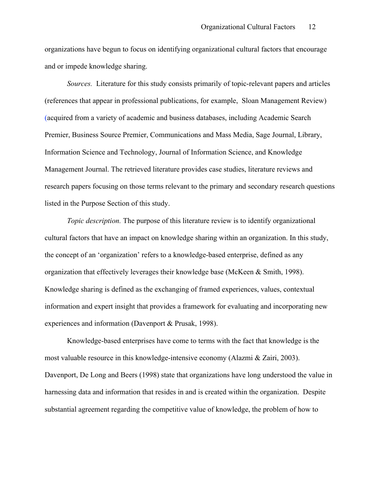organizations have begun to focus on identifying organizational cultural factors that encourage and or impede knowledge sharing.

*Sources.* Literature for this study consists primarily of topic-relevant papers and articles (references that appear in professional publications, for example, Sloan Management Review) (acquired from a variety of academic and business databases, including Academic Search Premier, Business Source Premier, Communications and Mass Media, Sage Journal, Library, Information Science and Technology, Journal of Information Science, and Knowledge Management Journal. The retrieved literature provides case studies, literature reviews and research papers focusing on those terms relevant to the primary and secondary research questions listed in the Purpose Section of this study.

*Topic description.* The purpose of this literature review is to identify organizational cultural factors that have an impact on knowledge sharing within an organization. In this study, the concept of an 'organization' refers to a knowledge-based enterprise, defined as any organization that effectively leverages their knowledge base (McKeen & Smith, 1998). Knowledge sharing is defined as the exchanging of framed experiences, values, contextual information and expert insight that provides a framework for evaluating and incorporating new experiences and information (Davenport & Prusak, 1998).

Knowledge-based enterprises have come to terms with the fact that knowledge is the most valuable resource in this knowledge-intensive economy (Alazmi & Zairi, 2003). Davenport, De Long and Beers (1998) state that organizations have long understood the value in harnessing data and information that resides in and is created within the organization. Despite substantial agreement regarding the competitive value of knowledge, the problem of how to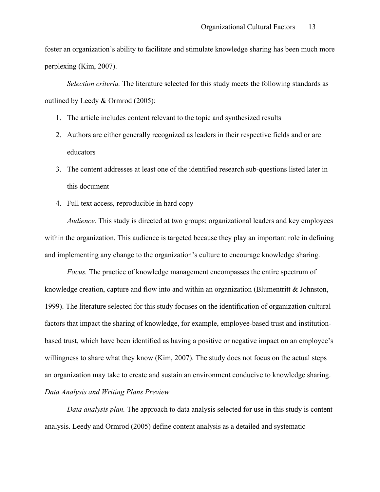foster an organization's ability to facilitate and stimulate knowledge sharing has been much more perplexing (Kim, 2007).

*Selection criteria.* The literature selected for this study meets the following standards as outlined by Leedy & Ormrod (2005):

- 1. The article includes content relevant to the topic and synthesized results
- 2. Authors are either generally recognized as leaders in their respective fields and or are educators
- 3. The content addresses at least one of the identified research sub-questions listed later in this document
- 4. Full text access, reproducible in hard copy

*Audience.* This study is directed at two groups; organizational leaders and key employees within the organization. This audience is targeted because they play an important role in defining and implementing any change to the organization's culture to encourage knowledge sharing.

*Focus.* The practice of knowledge management encompasses the entire spectrum of knowledge creation, capture and flow into and within an organization (Blumentritt  $\&$  Johnston, 1999). The literature selected for this study focuses on the identification of organization cultural factors that impact the sharing of knowledge, for example, employee-based trust and institutionbased trust, which have been identified as having a positive or negative impact on an employee's willingness to share what they know (Kim, 2007). The study does not focus on the actual steps an organization may take to create and sustain an environment conducive to knowledge sharing. *Data Analysis and Writing Plans Preview*

*Data analysis plan.* The approach to data analysis selected for use in this study is content analysis. Leedy and Ormrod (2005) define content analysis as a detailed and systematic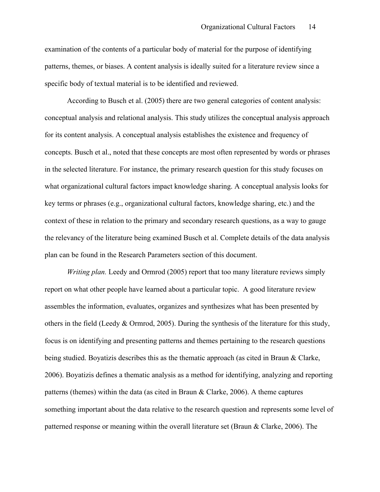examination of the contents of a particular body of material for the purpose of identifying patterns, themes, or biases. A content analysis is ideally suited for a literature review since a specific body of textual material is to be identified and reviewed.

According to Busch et al. (2005) there are two general categories of content analysis: conceptual analysis and relational analysis. This study utilizes the conceptual analysis approach for its content analysis. A conceptual analysis establishes the existence and frequency of concepts. Busch et al., noted that these concepts are most often represented by words or phrases in the selected literature. For instance, the primary research question for this study focuses on what organizational cultural factors impact knowledge sharing. A conceptual analysis looks for key terms or phrases (e.g., organizational cultural factors, knowledge sharing, etc.) and the context of these in relation to the primary and secondary research questions, as a way to gauge the relevancy of the literature being examined Busch et al. Complete details of the data analysis plan can be found in the Research Parameters section of this document.

*Writing plan.* Leedy and Ormrod (2005) report that too many literature reviews simply report on what other people have learned about a particular topic. A good literature review assembles the information, evaluates, organizes and synthesizes what has been presented by others in the field (Leedy  $&$  Ormrod, 2005). During the synthesis of the literature for this study, focus is on identifying and presenting patterns and themes pertaining to the research questions being studied. Boyatizis describes this as the thematic approach (as cited in Braun & Clarke, 2006). Boyatizis defines a thematic analysis as a method for identifying, analyzing and reporting patterns (themes) within the data (as cited in Braun  $\&$  Clarke, 2006). A theme captures something important about the data relative to the research question and represents some level of patterned response or meaning within the overall literature set (Braun & Clarke, 2006). The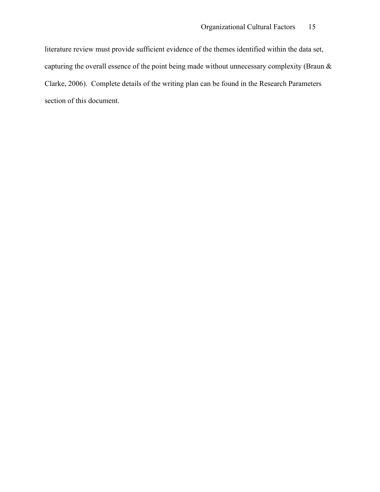literature review must provide sufficient evidence of the themes identified within the data set, capturing the overall essence of the point being made without unnecessary complexity (Braun & Clarke, 2006). Complete details of the writing plan can be found in the Research Parameters section of this document.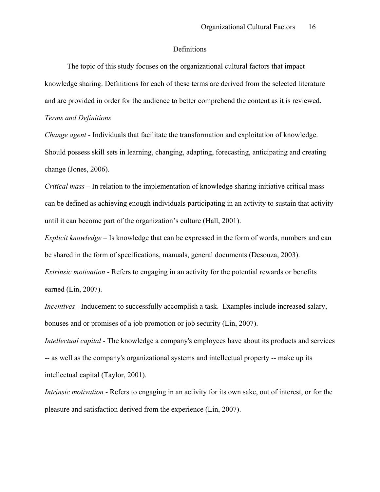#### Definitions

The topic of this study focuses on the organizational cultural factors that impact knowledge sharing. Definitions for each of these terms are derived from the selected literature and are provided in order for the audience to better comprehend the content as it is reviewed.

#### *Terms and Definitions*

*Change agent* - Individuals that facilitate the transformation and exploitation of knowledge. Should possess skill sets in learning, changing, adapting, forecasting, anticipating and creating change (Jones, 2006).

*Critical mass* – In relation to the implementation of knowledge sharing initiative critical mass can be defined as achieving enough individuals participating in an activity to sustain that activity until it can become part of the organization's culture (Hall, 2001).

*Explicit knowledge* – Is knowledge that can be expressed in the form of words, numbers and can be shared in the form of specifications, manuals, general documents (Desouza, 2003).

*Extrinsic motivation* - Refers to engaging in an activity for the potential rewards or benefits earned (Lin, 2007).

*Incentives* - Inducement to successfully accomplish a task. Examples include increased salary, bonuses and or promises of a job promotion or job security (Lin, 2007).

*Intellectual capital* - The knowledge a company's employees have about its products and services -- as well as the company's organizational systems and intellectual property -- make up its intellectual capital (Taylor, 2001).

*Intrinsic motivation* - Refers to engaging in an activity for its own sake, out of interest, or for the pleasure and satisfaction derived from the experience (Lin, 2007).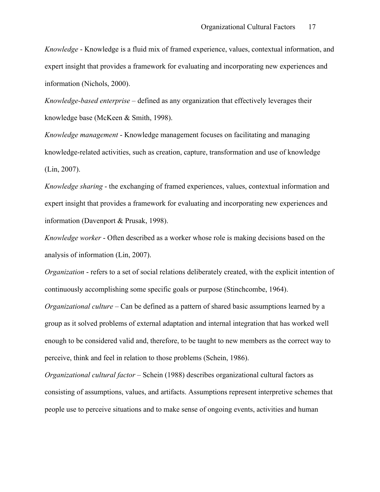*Knowledge* - Knowledge is a fluid mix of framed experience, values, contextual information, and expert insight that provides a framework for evaluating and incorporating new experiences and information (Nichols, 2000).

*Knowledge-based enterprise –* defined as any organization that effectively leverages their knowledge base (McKeen & Smith, 1998).

*Knowledge management* - Knowledge management focuses on facilitating and managing knowledge-related activities, such as creation, capture, transformation and use of knowledge (Lin, 2007).

*Knowledge sharing* - the exchanging of framed experiences, values, contextual information and expert insight that provides a framework for evaluating and incorporating new experiences and information (Davenport & Prusak, 1998).

*Knowledge worker* - Often described as a worker whose role is making decisions based on the analysis of information (Lin, 2007).

*Organization* - refers to a set of social relations deliberately created, with the explicit intention of continuously accomplishing some specific goals or purpose (Stinchcombe, 1964).

*Organizational culture* – Can be defined as a pattern of shared basic assumptions learned by a group as it solved problems of external adaptation and internal integration that has worked well enough to be considered valid and, therefore, to be taught to new members as the correct way to perceive, think and feel in relation to those problems (Schein, 1986).

*Organizational cultural factor –* Schein (1988) describes organizational cultural factors as consisting of assumptions, values, and artifacts. Assumptions represent interpretive schemes that people use to perceive situations and to make sense of ongoing events, activities and human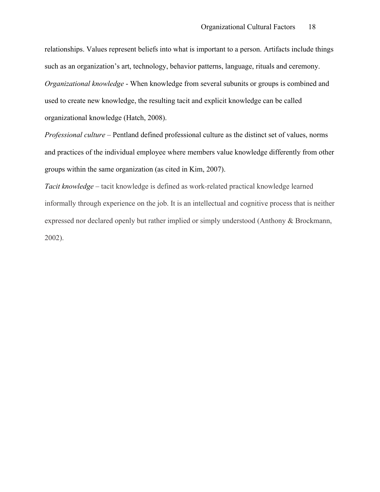relationships. Values represent beliefs into what is important to a person. Artifacts include things such as an organization's art, technology, behavior patterns, language, rituals and ceremony. *Organizational knowledge* - When knowledge from several subunits or groups is combined and used to create new knowledge, the resulting tacit and explicit knowledge can be called organizational knowledge (Hatch, 2008).

*Professional culture* – Pentland defined professional culture as the distinct set of values, norms and practices of the individual employee where members value knowledge differently from other groups within the same organization (as cited in Kim, 2007).

*Tacit knowledge* – tacit knowledge is defined as work-related practical knowledge learned informally through experience on the job. It is an intellectual and cognitive process that is neither expressed nor declared openly but rather implied or simply understood (Anthony & Brockmann, 2002).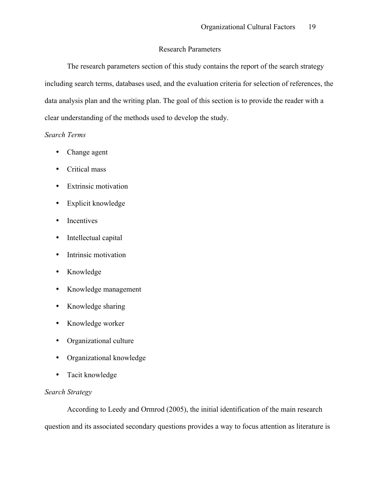#### Research Parameters

The research parameters section of this study contains the report of the search strategy including search terms, databases used, and the evaluation criteria for selection of references, the data analysis plan and the writing plan. The goal of this section is to provide the reader with a clear understanding of the methods used to develop the study.

#### *Search Terms*

- Change agent
- Critical mass
- Extrinsic motivation
- Explicit knowledge
- Incentives
- Intellectual capital
- Intrinsic motivation
- Knowledge
- Knowledge management
- Knowledge sharing
- Knowledge worker
- Organizational culture
- Organizational knowledge
- Tacit knowledge

#### *Search Strategy*

According to Leedy and Ormrod (2005), the initial identification of the main research question and its associated secondary questions provides a way to focus attention as literature is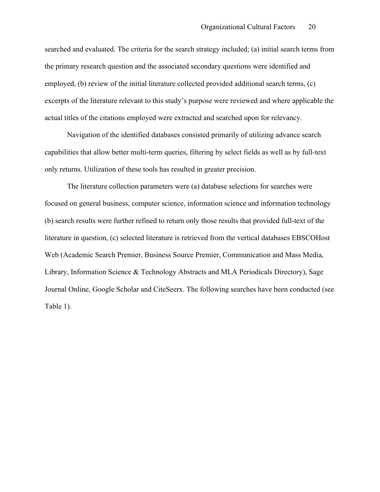searched and evaluated. The criteria for the search strategy included; (a) initial search terms from the primary research question and the associated secondary questions were identified and employed, (b) review of the initial literature collected provided additional search terms, (c) excerpts of the literature relevant to this study's purpose were reviewed and where applicable the actual titles of the citations employed were extracted and searched upon for relevancy.

Navigation of the identified databases consisted primarily of utilizing advance search capabilities that allow better multi-term queries, filtering by select fields as well as by full-text only returns. Utilization of these tools has resulted in greater precision.

The literature collection parameters were (a) database selections for searches were focused on general business, computer science, information science and information technology (b) search results were further refined to return only those results that provided full-text of the literature in question, (c) selected literature is retrieved from the vertical databases EBSCOHost Web (Academic Search Premier, Business Source Premier, Communication and Mass Media, Library, Information Science & Technology Abstracts and MLA Periodicals Directory), Sage Journal Online, Google Scholar and CiteSeerx. The following searches have been conducted (see Table 1).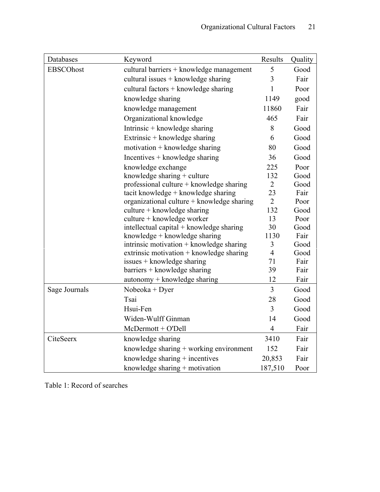| Databases        | Keyword                                    | Results        | Quality |
|------------------|--------------------------------------------|----------------|---------|
| <b>EBSCOhost</b> | cultural barriers + knowledge management   | 5              | Good    |
|                  | cultural issues + knowledge sharing        | 3              | Fair    |
|                  | cultural factors $+$ knowledge sharing     | 1              | Poor    |
|                  | knowledge sharing                          | 1149           | good    |
|                  | knowledge management                       | 11860          | Fair    |
|                  | Organizational knowledge                   | 465            | Fair    |
|                  | Intrinsic + knowledge sharing              | 8              | Good    |
|                  | Extrinsic + knowledge sharing              | 6              | Good    |
|                  | $motivation + knowledge sharing$           | 80             | Good    |
|                  | Incentives $+$ knowledge sharing           | 36             | Good    |
|                  | knowledge exchange                         | 225            | Poor    |
|                  | knowledge sharing + culture                | 132            | Good    |
|                  | professional culture + knowledge sharing   | $\overline{2}$ | Good    |
|                  | tacit knowledge + knowledge sharing        | 23             | Fair    |
|                  | organizational culture + knowledge sharing | $\overline{2}$ | Poor    |
|                  | culture + knowledge sharing                | 132            | Good    |
|                  | culture + knowledge worker                 | 13             | Poor    |
|                  | intellectual capital + knowledge sharing   | 30             | Good    |
|                  | knowledge + knowledge sharing              | 1130           | Fair    |
|                  | intrinsic motivation $+$ knowledge sharing | 3              | Good    |
|                  | extrinsic motivation + knowledge sharing   | $\overline{4}$ | Good    |
|                  | issues + knowledge sharing                 | 71             | Fair    |
|                  | barriers + knowledge sharing               | 39             | Fair    |
|                  | autonomy + knowledge sharing               | 12             | Fair    |
| Sage Journals    | $Nobeoka + Dyer$                           | $\overline{3}$ | Good    |
|                  | Tsai                                       | 28             | Good    |
|                  | Hsui-Fen                                   | 3              | Good    |
|                  | Widen-Wulff Ginman                         | 14             | Good    |
|                  | $McDermott + O'Dell$                       | $\overline{4}$ | Fair    |
| CiteSeerx        | knowledge sharing                          | 3410           | Fair    |
|                  | knowledge sharing + working environment    | 152            | Fair    |
|                  | knowledge sharing $+$ incentives           | 20,853         | Fair    |
|                  | knowledge sharing $+$ motivation           | 187,510        | Poor    |

Table 1: Record of searches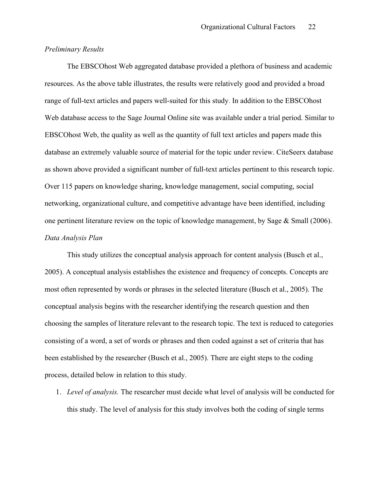#### *Preliminary Results*

The EBSCOhost Web aggregated database provided a plethora of business and academic resources. As the above table illustrates, the results were relatively good and provided a broad range of full-text articles and papers well-suited for this study. In addition to the EBSCOhost Web database access to the Sage Journal Online site was available under a trial period. Similar to EBSCOhost Web, the quality as well as the quantity of full text articles and papers made this database an extremely valuable source of material for the topic under review. CiteSeerx database as shown above provided a significant number of full-text articles pertinent to this research topic. Over 115 papers on knowledge sharing, knowledge management, social computing, social networking, organizational culture, and competitive advantage have been identified, including one pertinent literature review on the topic of knowledge management, by Sage & Small (2006). *Data Analysis Plan*

This study utilizes the conceptual analysis approach for content analysis (Busch et al., 2005). A conceptual analysis establishes the existence and frequency of concepts. Concepts are most often represented by words or phrases in the selected literature (Busch et al., 2005). The conceptual analysis begins with the researcher identifying the research question and then choosing the samples of literature relevant to the research topic. The text is reduced to categories consisting of a word, a set of words or phrases and then coded against a set of criteria that has been established by the researcher (Busch et al., 2005). There are eight steps to the coding process, detailed below in relation to this study.

1. *Level of analysis.* The researcher must decide what level of analysis will be conducted for this study. The level of analysis for this study involves both the coding of single terms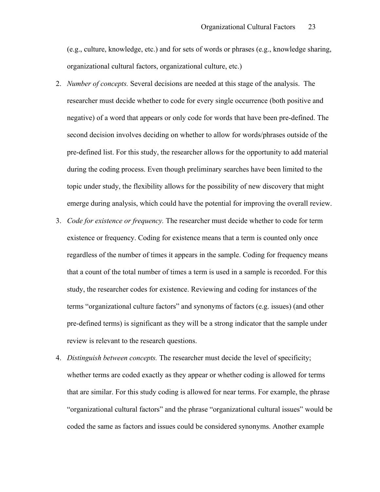(e.g., culture, knowledge, etc.) and for sets of words or phrases (e.g., knowledge sharing, organizational cultural factors, organizational culture, etc.)

- 2. *Number of concepts.* Several decisions are needed at this stage of the analysis. The researcher must decide whether to code for every single occurrence (both positive and negative) of a word that appears or only code for words that have been pre-defined. The second decision involves deciding on whether to allow for words/phrases outside of the pre-defined list. For this study, the researcher allows for the opportunity to add material during the coding process. Even though preliminary searches have been limited to the topic under study, the flexibility allows for the possibility of new discovery that might emerge during analysis, which could have the potential for improving the overall review.
- 3. *Code for existence or frequency.* The researcher must decide whether to code for term existence or frequency. Coding for existence means that a term is counted only once regardless of the number of times it appears in the sample. Coding for frequency means that a count of the total number of times a term is used in a sample is recorded. For this study, the researcher codes for existence. Reviewing and coding for instances of the terms "organizational culture factors" and synonyms of factors (e.g. issues) (and other pre-defined terms) is significant as they will be a strong indicator that the sample under review is relevant to the research questions.
- 4. *Distinguish between concepts.* The researcher must decide the level of specificity; whether terms are coded exactly as they appear or whether coding is allowed for terms that are similar. For this study coding is allowed for near terms. For example, the phrase "organizational cultural factors" and the phrase "organizational cultural issues" would be coded the same as factors and issues could be considered synonyms. Another example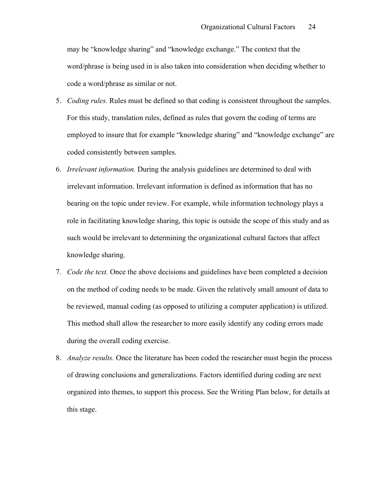may be "knowledge sharing" and "knowledge exchange." The context that the word/phrase is being used in is also taken into consideration when deciding whether to code a word/phrase as similar or not.

- 5. *Coding rules.* Rules must be defined so that coding is consistent throughout the samples. For this study, translation rules, defined as rules that govern the coding of terms are employed to insure that for example "knowledge sharing" and "knowledge exchange" are coded consistently between samples.
- 6. *Irrelevant information.* During the analysis guidelines are determined to deal with irrelevant information. Irrelevant information is defined as information that has no bearing on the topic under review. For example, while information technology plays a role in facilitating knowledge sharing, this topic is outside the scope of this study and as such would be irrelevant to determining the organizational cultural factors that affect knowledge sharing.
- 7. *Code the text.* Once the above decisions and guidelines have been completed a decision on the method of coding needs to be made. Given the relatively small amount of data to be reviewed, manual coding (as opposed to utilizing a computer application) is utilized. This method shall allow the researcher to more easily identify any coding errors made during the overall coding exercise.
- 8. *Analyze results.* Once the literature has been coded the researcher must begin the process of drawing conclusions and generalizations. Factors identified during coding are next organized into themes, to support this process. See the Writing Plan below, for details at this stage.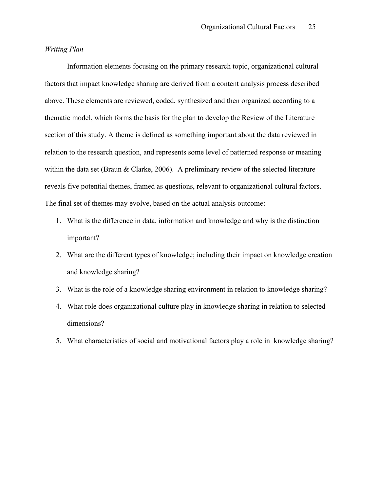#### *Writing Plan*

Information elements focusing on the primary research topic, organizational cultural factors that impact knowledge sharing are derived from a content analysis process described above. These elements are reviewed, coded, synthesized and then organized according to a thematic model, which forms the basis for the plan to develop the Review of the Literature section of this study. A theme is defined as something important about the data reviewed in relation to the research question, and represents some level of patterned response or meaning within the data set (Braun & Clarke, 2006). A preliminary review of the selected literature reveals five potential themes, framed as questions, relevant to organizational cultural factors. The final set of themes may evolve, based on the actual analysis outcome:

- 1. What is the difference in data, information and knowledge and why is the distinction important?
- 2. What are the different types of knowledge; including their impact on knowledge creation and knowledge sharing?
- 3. What is the role of a knowledge sharing environment in relation to knowledge sharing?
- 4. What role does organizational culture play in knowledge sharing in relation to selected dimensions?
- 5. What characteristics of social and motivational factors play a role in knowledge sharing?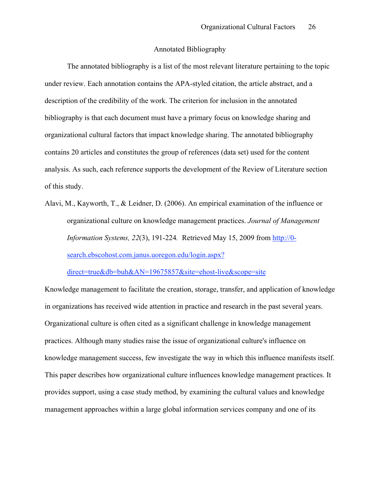#### Annotated Bibliography

The annotated bibliography is a list of the most relevant literature pertaining to the topic under review. Each annotation contains the APA-styled citation, the article abstract, and a description of the credibility of the work. The criterion for inclusion in the annotated bibliography is that each document must have a primary focus on knowledge sharing and organizational cultural factors that impact knowledge sharing. The annotated bibliography contains 20 articles and constitutes the group of references (data set) used for the content analysis. As such, each reference supports the development of the Review of Literature section of this study.

Alavi, M., Kayworth, T., & Leidner, D. (2006). An empirical examination of the influence or organizational culture on knowledge management practices. *Journal of Management Information Systems, 22*(3), 191-224*.* Retrieved May 15, 2009 from http://0 search.ebscohost.com.janus.uoregon.edu/login.aspx?

direct=true&db=buh&AN=19675857&site=ehost-live&scope=site

Knowledge management to facilitate the creation, storage, transfer, and application of knowledge in organizations has received wide attention in practice and research in the past several years. Organizational culture is often cited as a significant challenge in knowledge management practices. Although many studies raise the issue of organizational culture's influence on knowledge management success, few investigate the way in which this influence manifests itself. This paper describes how organizational culture influences knowledge management practices. It provides support, using a case study method, by examining the cultural values and knowledge management approaches within a large global information services company and one of its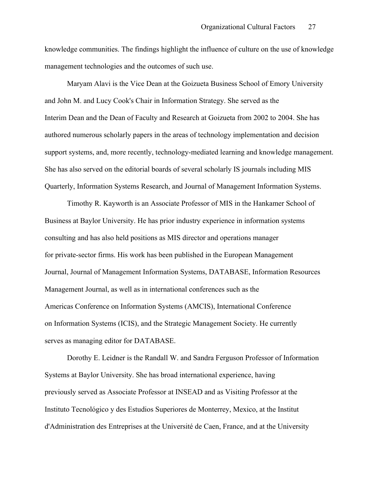knowledge communities. The findings highlight the influence of culture on the use of knowledge management technologies and the outcomes of such use.

Maryam Alavi is the Vice Dean at the Goizueta Business School of Emory University and John M. and Lucy Cook's Chair in Information Strategy. She served as the Interim Dean and the Dean of Faculty and Research at Goizueta from 2002 to 2004. She has authored numerous scholarly papers in the areas of technology implementation and decision support systems, and, more recently, technology-mediated learning and knowledge management. She has also served on the editorial boards of several scholarly IS journals including MIS Quarterly, Information Systems Research, and Journal of Management Information Systems.

Timothy R. Kayworth is an Associate Professor of MIS in the Hankamer School of Business at Baylor University. He has prior industry experience in information systems consulting and has also held positions as MIS director and operations manager for private-sector firms. His work has been published in the European Management Journal, Journal of Management Information Systems, DATABASE, Information Resources Management Journal, as well as in international conferences such as the Americas Conference on Information Systems (AMCIS), International Conference on Information Systems (ICIS), and the Strategic Management Society. He currently serves as managing editor for DATABASE.

Dorothy E. Leidner is the Randall W. and Sandra Ferguson Professor of Information Systems at Baylor University. She has broad international experience, having previously served as Associate Professor at INSEAD and as Visiting Professor at the Instituto Tecnológico y des Estudios Superiores de Monterrey, Mexico, at the Institut d'Administration des Entreprises at the Université de Caen, France, and at the University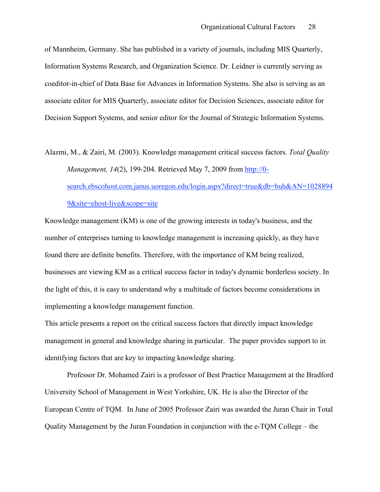of Mannheim, Germany. She has published in a variety of journals, including MIS Quarterly, Information Systems Research, and Organization Science. Dr. Leidner is currently serving as coeditor-in-chief of Data Base for Advances in Information Systems. She also is serving as an associate editor for MIS Quarterly, associate editor for Decision Sciences, associate editor for Decision Support Systems, and senior editor for the Journal of Strategic Information Systems.

Alazmi, M., & Zairi, M. (2003). Knowledge management critical success factors. *Total Quality Management, 14*(2), 199-204*.* Retrieved May 7, 2009 from http://0 search.ebscohost.com.janus.uoregon.edu/login.aspx?direct=true&db=buh&AN=1028894 9&site=ehost-live&scope=site

Knowledge management (KM) is one of the growing interests in today's business, and the number of enterprises turning to knowledge management is increasing quickly, as they have found there are definite benefits. Therefore, with the importance of KM being realized, businesses are viewing KM as a critical success factor in today's dynamic borderless society. In the light of this, it is easy to understand why a multitude of factors become considerations in implementing a knowledge management function.

This article presents a report on the critical success factors that directly impact knowledge management in general and knowledge sharing in particular. The paper provides support to in identifying factors that are key to impacting knowledge sharing.

Professor Dr. Mohamed Zairi is a professor of Best Practice Management at the Bradford University School of Management in West Yorkshire, UK. He is also the Director of the European Centre of TQM. In June of 2005 Professor Zairi was awarded the Juran Chair in Total Quality Management by the Juran Foundation in conjunction with the e-TQM College – the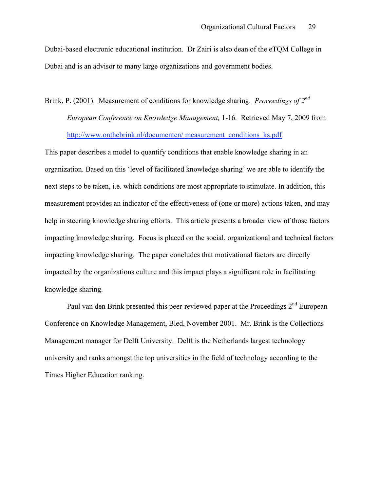Dubai-based electronic educational institution. Dr Zairi is also dean of the eTQM College in Dubai and is an advisor to many large organizations and government bodies.

## Brink, P. (2001). Measurement of conditions for knowledge sharing. *Proceedings of 2nd European Conference on Knowledge Management,* 1-16*.* Retrieved May 7, 2009 from http://www.onthebrink.nl/documenten/ measurement\_conditions\_ks.pdf

This paper describes a model to quantify conditions that enable knowledge sharing in an organization. Based on this 'level of facilitated knowledge sharing' we are able to identify the next steps to be taken, i.e. which conditions are most appropriate to stimulate. In addition, this measurement provides an indicator of the effectiveness of (one or more) actions taken, and may help in steering knowledge sharing efforts. This article presents a broader view of those factors impacting knowledge sharing. Focus is placed on the social, organizational and technical factors impacting knowledge sharing. The paper concludes that motivational factors are directly impacted by the organizations culture and this impact plays a significant role in facilitating knowledge sharing.

Paul van den Brink presented this peer-reviewed paper at the Proceedings 2<sup>nd</sup> European Conference on Knowledge Management, Bled, November 2001. Mr. Brink is the Collections Management manager for Delft University. Delft is the Netherlands largest technology university and ranks amongst the top universities in the field of technology according to the Times Higher Education ranking.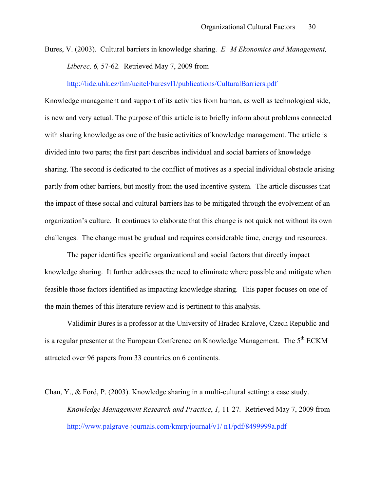Bures, V. (2003). Cultural barriers in knowledge sharing. *E+M Ekonomics and Management, Liberec, 6,* 57-62*.* Retrieved May 7, 2009 from

http://lide.uhk.cz/fim/ucitel/buresvl1/publications/CulturalBarriers.pdf

Knowledge management and support of its activities from human, as well as technological side, is new and very actual. The purpose of this article is to briefly inform about problems connected with sharing knowledge as one of the basic activities of knowledge management. The article is divided into two parts; the first part describes individual and social barriers of knowledge sharing. The second is dedicated to the conflict of motives as a special individual obstacle arising partly from other barriers, but mostly from the used incentive system. The article discusses that the impact of these social and cultural barriers has to be mitigated through the evolvement of an organization's culture. It continues to elaborate that this change is not quick not without its own challenges. The change must be gradual and requires considerable time, energy and resources.

The paper identifies specific organizational and social factors that directly impact knowledge sharing. It further addresses the need to eliminate where possible and mitigate when feasible those factors identified as impacting knowledge sharing. This paper focuses on one of the main themes of this literature review and is pertinent to this analysis.

Validimir Bures is a professor at the University of Hradec Kralove, Czech Republic and is a regular presenter at the European Conference on Knowledge Management. The 5<sup>th</sup> ECKM attracted over 96 papers from 33 countries on 6 continents.

Chan, Y., & Ford, P. (2003). Knowledge sharing in a multi-cultural setting: a case study. *Knowledge Management Research and Practice*, *1,* 11-27*.* Retrieved May 7, 2009 from http://www.palgrave-journals.com/kmrp/journal/v1/ n1/pdf/8499999a.pdf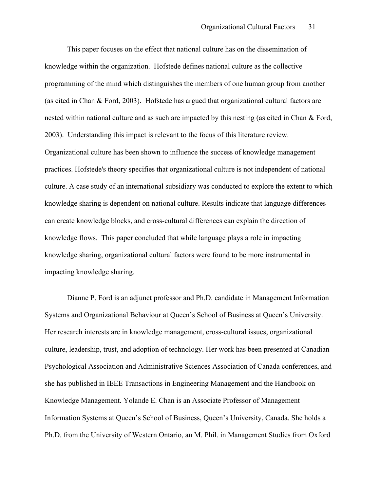This paper focuses on the effect that national culture has on the dissemination of knowledge within the organization. Hofstede defines national culture as the collective programming of the mind which distinguishes the members of one human group from another (as cited in Chan & Ford, 2003). Hofstede has argued that organizational cultural factors are nested within national culture and as such are impacted by this nesting (as cited in Chan & Ford, 2003). Understanding this impact is relevant to the focus of this literature review. Organizational culture has been shown to influence the success of knowledge management practices. Hofstede's theory specifies that organizational culture is not independent of national culture. A case study of an international subsidiary was conducted to explore the extent to which knowledge sharing is dependent on national culture. Results indicate that language differences can create knowledge blocks, and cross-cultural differences can explain the direction of knowledge flows. This paper concluded that while language plays a role in impacting knowledge sharing, organizational cultural factors were found to be more instrumental in impacting knowledge sharing.

Dianne P. Ford is an adjunct professor and Ph.D. candidate in Management Information Systems and Organizational Behaviour at Queen's School of Business at Queen's University. Her research interests are in knowledge management, cross-cultural issues, organizational culture, leadership, trust, and adoption of technology. Her work has been presented at Canadian Psychological Association and Administrative Sciences Association of Canada conferences, and she has published in IEEE Transactions in Engineering Management and the Handbook on Knowledge Management. Yolande E. Chan is an Associate Professor of Management Information Systems at Queen's School of Business, Queen's University, Canada. She holds a Ph.D. from the University of Western Ontario, an M. Phil. in Management Studies from Oxford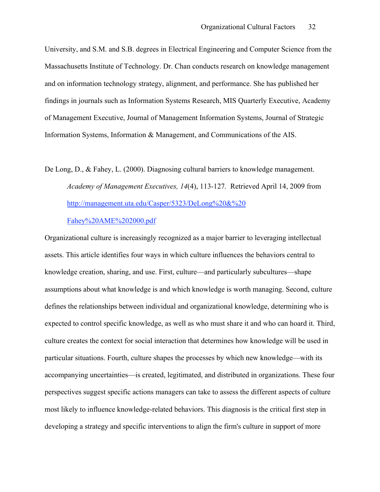University, and S.M. and S.B. degrees in Electrical Engineering and Computer Science from the Massachusetts Institute of Technology. Dr. Chan conducts research on knowledge management and on information technology strategy, alignment, and performance. She has published her findings in journals such as Information Systems Research, MIS Quarterly Executive, Academy of Management Executive, Journal of Management Information Systems, Journal of Strategic Information Systems, Information & Management, and Communications of the AIS.

# De Long, D., & Fahey, L. (2000). Diagnosing cultural barriers to knowledge management. *Academy of Management Executives, 14*(4), 113-127*.* Retrieved April 14, 2009 from http://management.uta.edu/Casper/5323/DeLong%20&%20

#### Fahey%20AME%202000.pdf

Organizational culture is increasingly recognized as a major barrier to leveraging intellectual assets. This article identifies four ways in which culture influences the behaviors central to knowledge creation, sharing, and use. First, culture—and particularly subcultures—shape assumptions about what knowledge is and which knowledge is worth managing. Second, culture defines the relationships between individual and organizational knowledge, determining who is expected to control specific knowledge, as well as who must share it and who can hoard it. Third, culture creates the context for social interaction that determines how knowledge will be used in particular situations. Fourth, culture shapes the processes by which new knowledge—with its accompanying uncertainties—is created, legitimated, and distributed in organizations. These four perspectives suggest specific actions managers can take to assess the different aspects of culture most likely to influence knowledge-related behaviors. This diagnosis is the critical first step in developing a strategy and specific interventions to align the firm's culture in support of more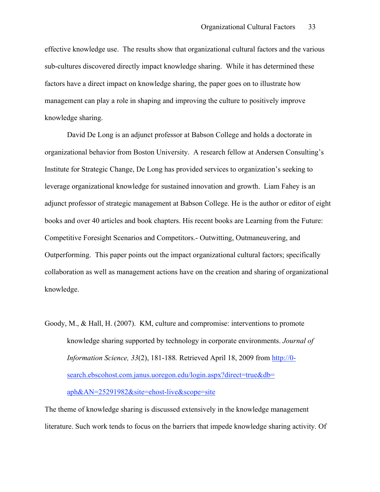effective knowledge use. The results show that organizational cultural factors and the various sub-cultures discovered directly impact knowledge sharing. While it has determined these factors have a direct impact on knowledge sharing, the paper goes on to illustrate how management can play a role in shaping and improving the culture to positively improve knowledge sharing.

David De Long is an adjunct professor at Babson College and holds a doctorate in organizational behavior from Boston University. A research fellow at Andersen Consulting's Institute for Strategic Change, De Long has provided services to organization's seeking to leverage organizational knowledge for sustained innovation and growth. Liam Fahey is an adjunct professor of strategic management at Babson College. He is the author or editor of eight books and over 40 articles and book chapters. His recent books are Learning from the Future: Competitive Foresight Scenarios and Competitors.- Outwitting, Outmaneuvering, and Outperforming. This paper points out the impact organizational cultural factors; specifically collaboration as well as management actions have on the creation and sharing of organizational knowledge.

Goody, M., & Hall, H. (2007). KM, culture and compromise: interventions to promote knowledge sharing supported by technology in corporate environments. *Journal of Information Science, 33*(2), 181-188*.* Retrieved April 18, 2009 from http://0 search.ebscohost.com.janus.uoregon.edu/login.aspx?direct=true&db= aph&AN=25291982&site=ehost-live&scope=site

The theme of knowledge sharing is discussed extensively in the knowledge management literature. Such work tends to focus on the barriers that impede knowledge sharing activity. Of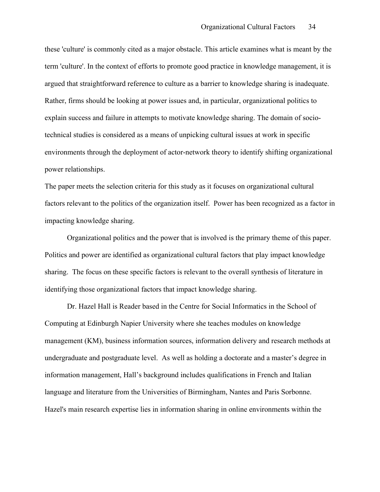these 'culture' is commonly cited as a major obstacle. This article examines what is meant by the term 'culture'. In the context of efforts to promote good practice in knowledge management, it is argued that straightforward reference to culture as a barrier to knowledge sharing is inadequate. Rather, firms should be looking at power issues and, in particular, organizational politics to explain success and failure in attempts to motivate knowledge sharing. The domain of sociotechnical studies is considered as a means of unpicking cultural issues at work in specific environments through the deployment of actor-network theory to identify shifting organizational power relationships.

The paper meets the selection criteria for this study as it focuses on organizational cultural factors relevant to the politics of the organization itself. Power has been recognized as a factor in impacting knowledge sharing.

Organizational politics and the power that is involved is the primary theme of this paper. Politics and power are identified as organizational cultural factors that play impact knowledge sharing. The focus on these specific factors is relevant to the overall synthesis of literature in identifying those organizational factors that impact knowledge sharing.

Dr. Hazel Hall is Reader based in the Centre for Social Informatics in the School of Computing at Edinburgh Napier University where she teaches modules on knowledge management (KM), business information sources, information delivery and research methods at undergraduate and postgraduate level. As well as holding a doctorate and a master's degree in information management, Hall's background includes qualifications in French and Italian language and literature from the Universities of Birmingham, Nantes and Paris Sorbonne. Hazel's main research expertise lies in information sharing in online environments within the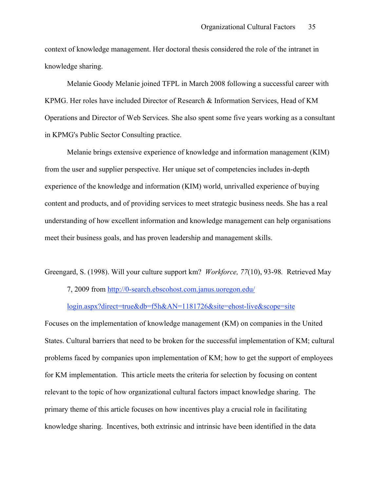context of knowledge management. Her doctoral thesis considered the role of the intranet in knowledge sharing.

Melanie Goody Melanie joined TFPL in March 2008 following a successful career with KPMG. Her roles have included Director of Research & Information Services, Head of KM Operations and Director of Web Services. She also spent some five years working as a consultant in KPMG's Public Sector Consulting practice.

Melanie brings extensive experience of knowledge and information management (KIM) from the user and supplier perspective. Her unique set of competencies includes in-depth experience of the knowledge and information (KIM) world, unrivalled experience of buying content and products, and of providing services to meet strategic business needs. She has a real understanding of how excellent information and knowledge management can help organisations meet their business goals, and has proven leadership and management skills.

Greengard, S. (1998). Will your culture support km? *Workforce, 77*(10), 93-98*.* Retrieved May

7, 2009 from http://0-search.ebscohost.com.janus.uoregon.edu/

login.aspx?direct=true&db=f5h&AN=1181726&site=ehost-live&scope=site

Focuses on the implementation of knowledge management (KM) on companies in the United States. Cultural barriers that need to be broken for the successful implementation of KM; cultural problems faced by companies upon implementation of KM; how to get the support of employees for KM implementation. This article meets the criteria for selection by focusing on content relevant to the topic of how organizational cultural factors impact knowledge sharing. The primary theme of this article focuses on how incentives play a crucial role in facilitating knowledge sharing. Incentives, both extrinsic and intrinsic have been identified in the data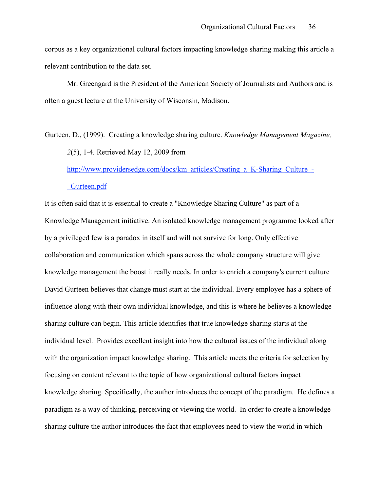corpus as a key organizational cultural factors impacting knowledge sharing making this article a relevant contribution to the data set.

Mr. Greengard is the President of the American Society of Journalists and Authors and is often a guest lecture at the University of Wisconsin, Madison.

Gurteen, D., (1999). Creating a knowledge sharing culture. *Knowledge Management Magazine, 2*(5), 1-4*.* Retrieved May 12, 2009 from http://www.providersedge.com/docs/km\_articles/Creating\_a\_K-Sharing\_Culture\_-

\_Gurteen.pdf

It is often said that it is essential to create a "Knowledge Sharing Culture" as part of a Knowledge Management initiative. An isolated knowledge management programme looked after by a privileged few is a paradox in itself and will not survive for long. Only effective collaboration and communication which spans across the whole company structure will give knowledge management the boost it really needs. In order to enrich a company's current culture David Gurteen believes that change must start at the individual. Every employee has a sphere of influence along with their own individual knowledge, and this is where he believes a knowledge sharing culture can begin. This article identifies that true knowledge sharing starts at the individual level. Provides excellent insight into how the cultural issues of the individual along with the organization impact knowledge sharing. This article meets the criteria for selection by focusing on content relevant to the topic of how organizational cultural factors impact knowledge sharing. Specifically, the author introduces the concept of the paradigm. He defines a paradigm as a way of thinking, perceiving or viewing the world. In order to create a knowledge sharing culture the author introduces the fact that employees need to view the world in which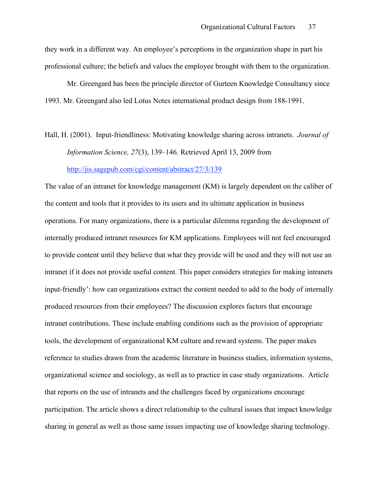they work in a different way. An employee's perceptions in the organization shape in part his professional culture; the beliefs and values the employee brought with them to the organization.

Mr. Greengard has been the principle director of Gurteen Knowledge Consultancy since 1993. Mr. Greengard also led Lotus Notes international product design from 188-1991.

Hall, H. (2001). Input-friendliness: Motivating knowledge sharing across intranets. *Journal of Information Science, 27*(3), 139–146*.* Retrieved April 13, 2009 from http://jis.sagepub.com/cgi/content/abstract/27/3/139

The value of an intranet for knowledge management (KM) is largely dependent on the caliber of the content and tools that it provides to its users and its ultimate application in business operations. For many organizations, there is a particular dilemma regarding the development of internally produced intranet resources for KM applications. Employees will not feel encouraged to provide content until they believe that what they provide will be used and they will not use an intranet if it does not provide useful content. This paper considers strategies for making intranets input-friendly': how can organizations extract the content needed to add to the body of internally produced resources from their employees? The discussion explores factors that encourage intranet contributions. These include enabling conditions such as the provision of appropriate tools, the development of organizational KM culture and reward systems. The paper makes reference to studies drawn from the academic literature in business studies, information systems, organizational science and sociology, as well as to practice in case study organizations. Article that reports on the use of intranets and the challenges faced by organizations encourage participation. The article shows a direct relationship to the cultural issues that impact knowledge sharing in general as well as those same issues impacting use of knowledge sharing technology.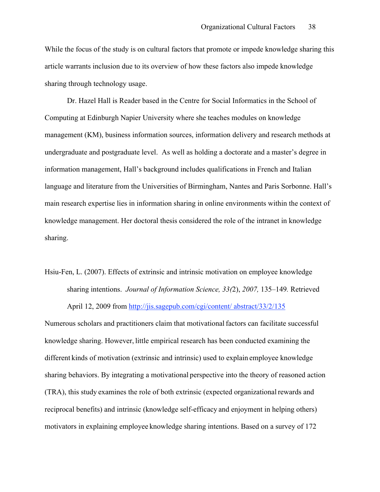While the focus of the study is on cultural factors that promote or impede knowledge sharing this article warrants inclusion due to its overview of how these factors also impede knowledge sharing through technology usage.

Dr. Hazel Hall is Reader based in the Centre for Social Informatics in the School of Computing at Edinburgh Napier University where she teaches modules on knowledge management (KM), business information sources, information delivery and research methods at undergraduate and postgraduate level. As well as holding a doctorate and a master's degree in information management, Hall's background includes qualifications in French and Italian language and literature from the Universities of Birmingham, Nantes and Paris Sorbonne. Hall's main research expertise lies in information sharing in online environments within the context of knowledge management. Her doctoral thesis considered the role of the intranet in knowledge sharing.

Hsiu-Fen, L. (2007). Effects of extrinsic and intrinsic motivation on employee knowledge sharing intentions. *Journal of Information Science, 33(*2), *2007,* 135–149*.* Retrieved April 12, 2009 from http://jis.sagepub.com/cgi/content/ abstract/33/2/135

Numerous scholars and practitioners claim that motivationalfactors can facilitate successful knowledge sharing. However, little empirical research has been conducted examining the different kinds of motivation (extrinsic and intrinsic) used to explain employee knowledge sharing behaviors. By integrating a motivational perspective into the theory of reasoned action (TRA), this study examines the role of both extrinsic (expected organizationalrewards and reciprocal benefits) and intrinsic (knowledge self-efficacy and enjoyment in helping others) motivators in explaining employee knowledge sharing intentions. Based on a survey of 172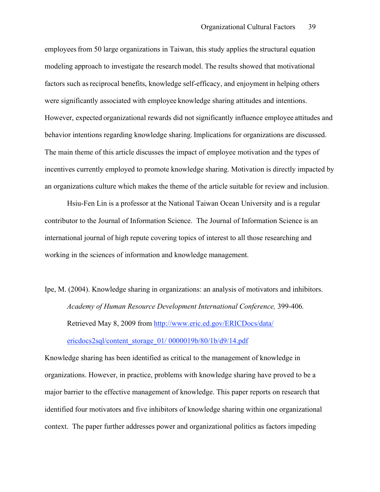employees from 50 large organizations in Taiwan, this study applies the structural equation modeling approach to investigate the research model. The results showed that motivational factors such as reciprocal benefits, knowledge self-efficacy, and enjoyment in helping others were significantly associated with employee knowledge sharing attitudes and intentions. However, expected organizational rewards did not significantly influence employee attitudes and behavior intentions regarding knowledge sharing.Implications for organizations are discussed. The main theme of this article discusses the impact of employee motivation and the types of incentives currently employed to promote knowledge sharing. Motivation is directly impacted by an organizations culture which makes the theme of the article suitable for review and inclusion.

Hsiu-Fen Lin is a professor at the National Taiwan Ocean University and is a regular contributor to the Journal of Information Science. The Journal of Information Science is an international journal of high repute covering topics of interest to all those researching and working in the sciences of information and knowledge management.

Ipe, M. (2004). Knowledge sharing in organizations: an analysis of motivators and inhibitors. *Academy of Human Resource Development International Conference,* 399-406*.* Retrieved May 8, 2009 from http://www.eric.ed.gov/ERICDocs/data/ ericdocs2sql/content\_storage\_01/ 0000019b/80/1b/d9/14.pdf

Knowledge sharing has been identified as critical to the management of knowledge in organizations. However, in practice, problems with knowledge sharing have proved to be a major barrier to the effective management of knowledge. This paper reports on research that identified four motivators and five inhibitors of knowledge sharing within one organizational context. The paper further addresses power and organizational politics as factors impeding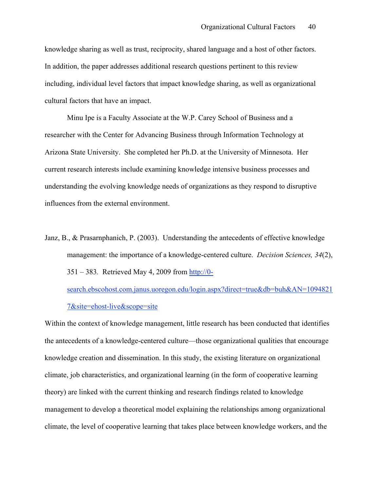knowledge sharing as well as trust, reciprocity, shared language and a host of other factors. In addition, the paper addresses additional research questions pertinent to this review including, individual level factors that impact knowledge sharing, as well as organizational cultural factors that have an impact.

Minu Ipe is a Faculty Associate at the W.P. Carey School of Business and a researcher with the Center for Advancing Business through Information Technology at Arizona State University. She completed her Ph.D. at the University of Minnesota. Her current research interests include examining knowledge intensive business processes and understanding the evolving knowledge needs of organizations as they respond to disruptive influences from the external environment.

Janz, B., & Prasarnphanich, P. (2003). Understanding the antecedents of effective knowledge management: the importance of a knowledge-centered culture. *Decision Sciences, 34*(2), 351 – 383*.* Retrieved May 4, 2009 from http://0-

search.ebscohost.com.janus.uoregon.edu/login.aspx?direct=true&db=buh&AN=1094821 7&site=ehost-live&scope=site

Within the context of knowledge management, little research has been conducted that identifies the antecedents of a knowledge-centered culture—those organizational qualities that encourage knowledge creation and dissemination. In this study, the existing literature on organizational climate, job characteristics, and organizational learning (in the form of cooperative learning theory) are linked with the current thinking and research findings related to knowledge management to develop a theoretical model explaining the relationships among organizational climate, the level of cooperative learning that takes place between knowledge workers, and the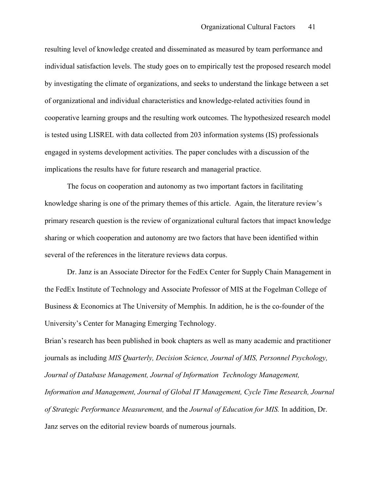resulting level of knowledge created and disseminated as measured by team performance and individual satisfaction levels. The study goes on to empirically test the proposed research model by investigating the climate of organizations, and seeks to understand the linkage between a set of organizational and individual characteristics and knowledge-related activities found in cooperative learning groups and the resulting work outcomes. The hypothesized research model is tested using LISREL with data collected from 203 information systems (IS) professionals engaged in systems development activities. The paper concludes with a discussion of the implications the results have for future research and managerial practice.

The focus on cooperation and autonomy as two important factors in facilitating knowledge sharing is one of the primary themes of this article. Again, the literature review's primary research question is the review of organizational cultural factors that impact knowledge sharing or which cooperation and autonomy are two factors that have been identified within several of the references in the literature reviews data corpus.

Dr. Janz is an Associate Director for the FedEx Center for Supply Chain Management in the FedEx Institute of Technology and Associate Professor of MIS at the Fogelman College of Business & Economics at The University of Memphis. In addition, he is the co-founder of the University's Center for Managing Emerging Technology.

Brian's research has been published in book chapters as well as many academic and practitioner journals as including *MIS Quarterly, Decision Science, Journal of MIS, Personnel Psychology, Journal of Database Management, Journal of Information Technology Management, Information and Management, Journal of Global IT Management, Cycle Time Research, Journal of Strategic Performance Measurement,* and the *Journal of Education for MIS.* In addition, Dr. Janz serves on the editorial review boards of numerous journals.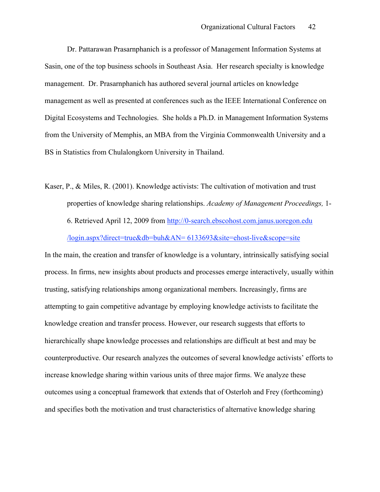Dr. Pattarawan Prasarnphanich is a professor of Management Information Systems at Sasin, one of the top business schools in Southeast Asia. Her research specialty is knowledge management. Dr. Prasarnphanich has authored several journal articles on knowledge management as well as presented at conferences such as the IEEE International Conference on Digital Ecosystems and Technologies. She holds a Ph.D. in Management Information Systems from the University of Memphis, an MBA from the Virginia Commonwealth University and a BS in Statistics from Chulalongkorn University in Thailand.

Kaser, P., & Miles, R. (2001). Knowledge activists: The cultivation of motivation and trust properties of knowledge sharing relationships. *Academy of Management Proceedings,* 1- 6. Retrieved April 12, 2009 from http://0-search.ebscohost.com.janus.uoregon.edu /login.aspx?direct=true&db=buh&AN= 6133693&site=ehost-live&scope=site

In the main, the creation and transfer of knowledge is a voluntary, intrinsically satisfying social process. In firms, new insights about products and processes emerge interactively, usually within trusting, satisfying relationships among organizational members. Increasingly, firms are attempting to gain competitive advantage by employing knowledge activists to facilitate the knowledge creation and transfer process. However, our research suggests that efforts to hierarchically shape knowledge processes and relationships are difficult at best and may be counterproductive. Our research analyzes the outcomes of several knowledge activists' efforts to increase knowledge sharing within various units of three major firms. We analyze these outcomes using a conceptual framework that extends that of Osterloh and Frey (forthcoming) and specifies both the motivation and trust characteristics of alternative knowledge sharing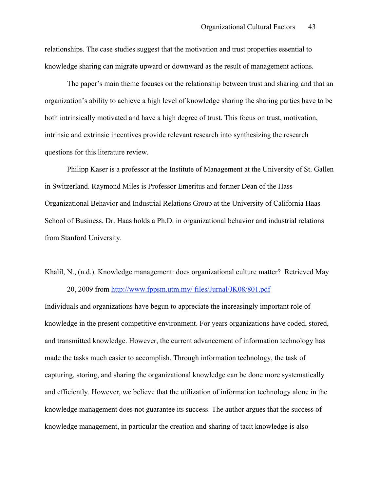relationships. The case studies suggest that the motivation and trust properties essential to knowledge sharing can migrate upward or downward as the result of management actions.

The paper's main theme focuses on the relationship between trust and sharing and that an organization's ability to achieve a high level of knowledge sharing the sharing parties have to be both intrinsically motivated and have a high degree of trust. This focus on trust, motivation, intrinsic and extrinsic incentives provide relevant research into synthesizing the research questions for this literature review.

Philipp Kaser is a professor at the Institute of Management at the University of St. Gallen in Switzerland. Raymond Miles is Professor Emeritus and former Dean of the Hass Organizational Behavior and Industrial Relations Group at the University of California Haas School of Business. Dr. Haas holds a Ph.D. in organizational behavior and industrial relations from Stanford University.

Khalil, N., (n.d.). Knowledge management: does organizational culture matter? Retrieved May 20, 2009 from http://www.fppsm.utm.my/ files/Jurnal/JK08/801.pdf

Individuals and organizations have begun to appreciate the increasingly important role of knowledge in the present competitive environment. For years organizations have coded, stored, and transmitted knowledge. However, the current advancement of information technology has made the tasks much easier to accomplish. Through information technology, the task of capturing, storing, and sharing the organizational knowledge can be done more systematically and efficiently. However, we believe that the utilization of information technology alone in the knowledge management does not guarantee its success. The author argues that the success of knowledge management, in particular the creation and sharing of tacit knowledge is also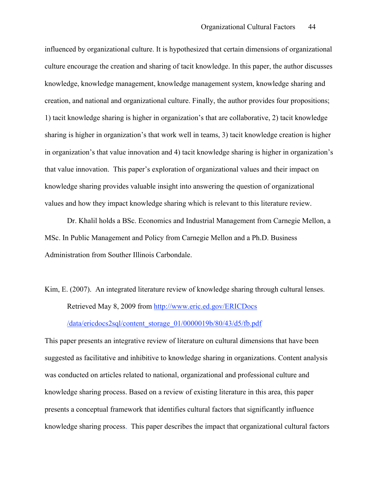influenced by organizational culture. It is hypothesized that certain dimensions of organizational culture encourage the creation and sharing of tacit knowledge. In this paper, the author discusses knowledge, knowledge management, knowledge management system, knowledge sharing and creation, and national and organizational culture. Finally, the author provides four propositions; 1) tacit knowledge sharing is higher in organization's that are collaborative, 2) tacit knowledge sharing is higher in organization's that work well in teams, 3) tacit knowledge creation is higher in organization's that value innovation and 4) tacit knowledge sharing is higher in organization's that value innovation. This paper's exploration of organizational values and their impact on knowledge sharing provides valuable insight into answering the question of organizational values and how they impact knowledge sharing which is relevant to this literature review.

Dr. Khalil holds a BSc. Economics and Industrial Management from Carnegie Mellon, a MSc. In Public Management and Policy from Carnegie Mellon and a Ph.D. Business Administration from Souther Illinois Carbondale.

Kim, E. (2007). An integrated literature review of knowledge sharing through cultural lenses. Retrieved May 8, 2009 from http://www.eric.ed.gov/ERICDocs /data/ericdocs2sql/content\_storage\_01/0000019b/80/43/d5/fb.pdf

This paper presents an integrative review of literature on cultural dimensions that have been suggested as facilitative and inhibitive to knowledge sharing in organizations. Content analysis was conducted on articles related to national, organizational and professional culture and knowledge sharing process. Based on a review of existing literature in this area, this paper presents a conceptual framework that identifies cultural factors that significantly influence knowledge sharing process. This paper describes the impact that organizational cultural factors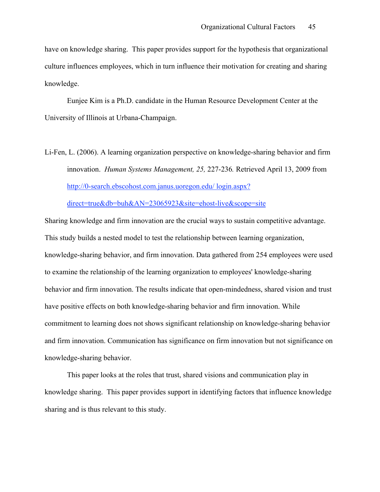have on knowledge sharing. This paper provides support for the hypothesis that organizational culture influences employees, which in turn influence their motivation for creating and sharing knowledge.

Eunjee Kim is a Ph.D. candidate in the Human Resource Development Center at the University of Illinois at Urbana-Champaign.

Li-Fen, L. (2006). A learning organization perspective on knowledge-sharing behavior and firm innovation. *Human Systems Management, 25,* 227-236*.* Retrieved April 13, 2009 from http://0-search.ebscohost.com.janus.uoregon.edu/ login.aspx?

direct=true&db=buh&AN=23065923&site=ehost-live&scope=site

Sharing knowledge and firm innovation are the crucial ways to sustain competitive advantage. This study builds a nested model to test the relationship between learning organization, knowledge-sharing behavior, and firm innovation. Data gathered from 254 employees were used to examine the relationship of the learning organization to employees' knowledge-sharing behavior and firm innovation. The results indicate that open-mindedness, shared vision and trust have positive effects on both knowledge-sharing behavior and firm innovation. While commitment to learning does not shows significant relationship on knowledge-sharing behavior and firm innovation. Communication has significance on firm innovation but not significance on knowledge-sharing behavior.

This paper looks at the roles that trust, shared visions and communication play in knowledge sharing. This paper provides support in identifying factors that influence knowledge sharing and is thus relevant to this study.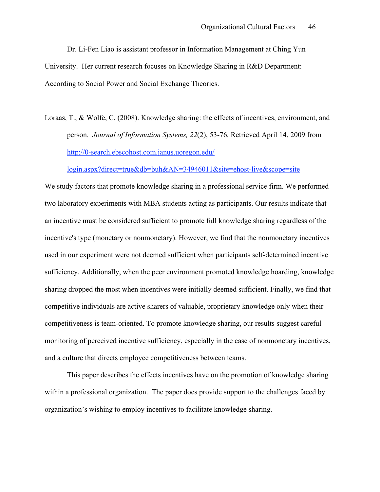Dr. Li-Fen Liao is assistant professor in Information Management at Ching Yun University. Her current research focuses on Knowledge Sharing in R&D Department: According to Social Power and Social Exchange Theories.

Loraas, T., & Wolfe, C. (2008). Knowledge sharing: the effects of incentives, environment, and person. *Journal of Information Systems, 22*(2), 53-76*.* Retrieved April 14, 2009 from http://0-search.ebscohost.com.janus.uoregon.edu/

login.aspx?direct=true&db=buh&AN=34946011&site=ehost-live&scope=site

We study factors that promote knowledge sharing in a professional service firm. We performed two laboratory experiments with MBA students acting as participants. Our results indicate that an incentive must be considered sufficient to promote full knowledge sharing regardless of the incentive's type (monetary or nonmonetary). However, we find that the nonmonetary incentives used in our experiment were not deemed sufficient when participants self-determined incentive sufficiency. Additionally, when the peer environment promoted knowledge hoarding, knowledge sharing dropped the most when incentives were initially deemed sufficient. Finally, we find that competitive individuals are active sharers of valuable, proprietary knowledge only when their competitiveness is team-oriented. To promote knowledge sharing, our results suggest careful monitoring of perceived incentive sufficiency, especially in the case of nonmonetary incentives, and a culture that directs employee competitiveness between teams.

This paper describes the effects incentives have on the promotion of knowledge sharing within a professional organization. The paper does provide support to the challenges faced by organization's wishing to employ incentives to facilitate knowledge sharing.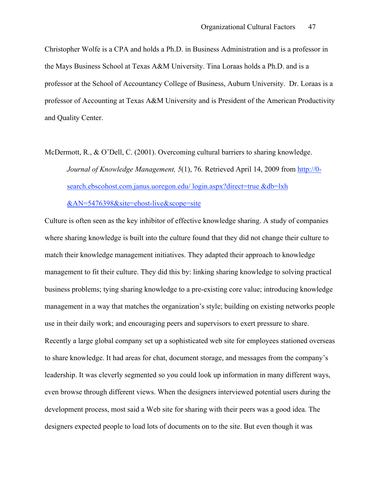Christopher Wolfe is a CPA and holds a Ph.D. in Business Administration and is a professor in the Mays Business School at Texas A&M University. Tina Loraas holds a Ph.D. and is a professor at the School of Accountancy College of Business, Auburn University. Dr. Loraas is a professor of Accounting at Texas A&M University and is President of the American Productivity and Quality Center.

McDermott, R., & O'Dell, C. (2001). Overcoming cultural barriers to sharing knowledge. *Journal of Knowledge Management, 5*(1), 76*.* Retrieved April 14, 2009 from http://0 search.ebscohost.com.janus.uoregon.edu/ login.aspx?direct=true &db=lxh

&AN=5476398&site=ehost-live&scope=site

Culture is often seen as the key inhibitor of effective knowledge sharing. A study of companies where sharing knowledge is built into the culture found that they did not change their culture to match their knowledge management initiatives. They adapted their approach to knowledge management to fit their culture. They did this by: linking sharing knowledge to solving practical business problems; tying sharing knowledge to a pre-existing core value; introducing knowledge management in a way that matches the organization's style; building on existing networks people use in their daily work; and encouraging peers and supervisors to exert pressure to share. Recently a large global company set up a sophisticated web site for employees stationed overseas to share knowledge. It had areas for chat, document storage, and messages from the company's leadership. It was cleverly segmented so you could look up information in many different ways, even browse through different views. When the designers interviewed potential users during the development process, most said a Web site for sharing with their peers was a good idea. The designers expected people to load lots of documents on to the site. But even though it was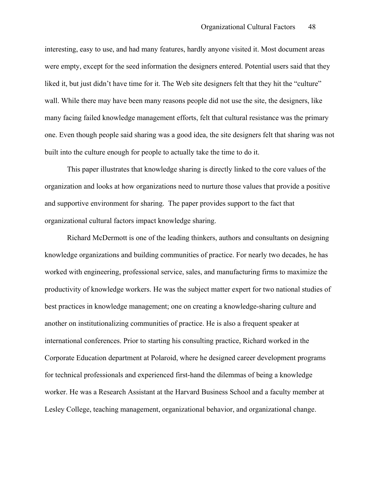interesting, easy to use, and had many features, hardly anyone visited it. Most document areas were empty, except for the seed information the designers entered. Potential users said that they liked it, but just didn't have time for it. The Web site designers felt that they hit the "culture" wall. While there may have been many reasons people did not use the site, the designers, like many facing failed knowledge management efforts, felt that cultural resistance was the primary one. Even though people said sharing was a good idea, the site designers felt that sharing was not built into the culture enough for people to actually take the time to do it.

This paper illustrates that knowledge sharing is directly linked to the core values of the organization and looks at how organizations need to nurture those values that provide a positive and supportive environment for sharing. The paper provides support to the fact that organizational cultural factors impact knowledge sharing.

Richard McDermott is one of the leading thinkers, authors and consultants on designing knowledge organizations and building communities of practice. For nearly two decades, he has worked with engineering, professional service, sales, and manufacturing firms to maximize the productivity of knowledge workers. He was the subject matter expert for two national studies of best practices in knowledge management; one on creating a knowledge-sharing culture and another on institutionalizing communities of practice. He is also a frequent speaker at international conferences. Prior to starting his consulting practice, Richard worked in the Corporate Education department at Polaroid, where he designed career development programs for technical professionals and experienced first-hand the dilemmas of being a knowledge worker. He was a Research Assistant at the Harvard Business School and a faculty member at Lesley College, teaching management, organizational behavior, and organizational change.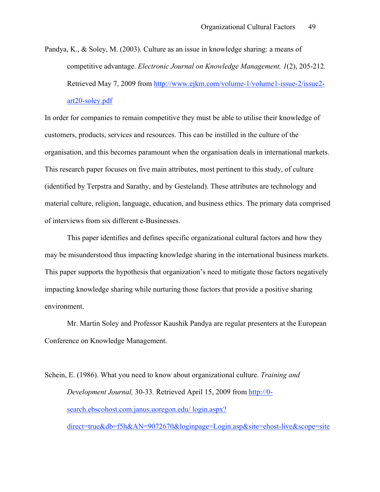Pandya, K., & Soley, M. (2003). Culture as an issue in knowledge sharing: a means of competitive advantage. *Electronic Journal on Knowledge Management, 1*(2), 205-212*.* Retrieved May 7, 2009 from http://www.ejkm.com/volume-1/volume1-issue-2/issue2 art20-soley.pdf

In order for companies to remain competitive they must be able to utilise their knowledge of customers, products, services and resources. This can be instilled in the culture of the organisation, and this becomes paramount when the organisation deals in international markets. This research paper focuses on five main attributes, most pertinent to this study, of culture (identified by Terpstra and Sarathy, and by Gesteland). These attributes are technology and material culture, religion, language, education, and business ethics. The primary data comprised of interviews from six different e-Businesses.

This paper identifies and defines specific organizational cultural factors and how they may be misunderstood thus impacting knowledge sharing in the international business markets. This paper supports the hypothesis that organization's need to mitigate those factors negatively impacting knowledge sharing while nurturing those factors that provide a positive sharing environment.

Mr. Martin Soley and Professor Kaushik Pandya are regular presenters at the European Conference on Knowledge Management.

Schein, E. (1986). What you need to know about organizational culture. *Training and Development Journal,* 30-33*.* Retrieved April 15, 2009 from http://0 search.ebscohost.com.janus.uoregon.edu/ login.aspx? direct=true&db=f5h&AN=9072670&loginpage=Login.asp&site=ehost-live&scope=site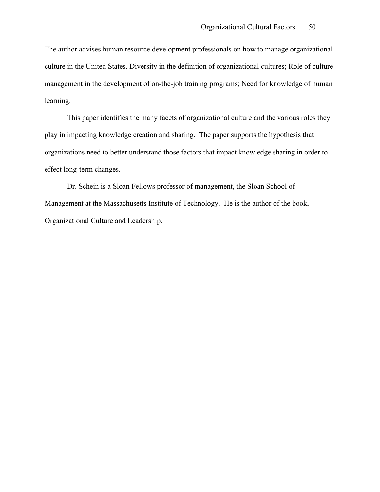The author advises human resource development professionals on how to manage organizational culture in the United States. Diversity in the definition of organizational cultures; Role of culture management in the development of on-the-job training programs; Need for knowledge of human learning.

This paper identifies the many facets of organizational culture and the various roles they play in impacting knowledge creation and sharing. The paper supports the hypothesis that organizations need to better understand those factors that impact knowledge sharing in order to effect long-term changes.

Dr. Schein is a Sloan Fellows professor of management, the Sloan School of Management at the Massachusetts Institute of Technology. He is the author of the book, Organizational Culture and Leadership.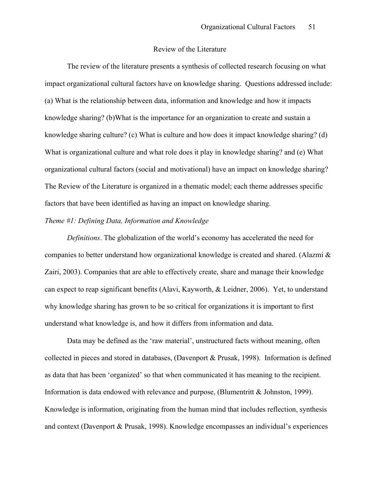#### Review of the Literature

The review of the literature presents a synthesis of collected research focusing on what impact organizational cultural factors have on knowledge sharing. Questions addressed include: (a) What is the relationship between data, information and knowledge and how it impacts knowledge sharing? (b)What is the importance for an organization to create and sustain a knowledge sharing culture? (c) What is culture and how does it impact knowledge sharing? (d) What is organizational culture and what role does it play in knowledge sharing? and (e) What organizational cultural factors (social and motivational) have an impact on knowledge sharing? The Review of the Literature is organized in a thematic model; each theme addresses specific factors that have been identified as having an impact on knowledge sharing.

#### *Theme #1: Defining Data, Information and Knowledge*

*Definitions*. The globalization of the world's economy has accelerated the need for companies to better understand how organizational knowledge is created and shared. (Alazmi & Zairi, 2003). Companies that are able to effectively create, share and manage their knowledge can expect to reap significant benefits (Alavi, Kayworth, & Leidner, 2006). Yet, to understand why knowledge sharing has grown to be so critical for organizations it is important to first understand what knowledge is, and how it differs from information and data.

Data may be defined as the 'raw material', unstructured facts without meaning, often collected in pieces and stored in databases, (Davenport & Prusak, 1998). Information is defined as data that has been 'organized' so that when communicated it has meaning to the recipient. Information is data endowed with relevance and purpose, (Blumentritt & Johnston, 1999). Knowledge is information, originating from the human mind that includes reflection, synthesis and context (Davenport & Prusak, 1998). Knowledge encompasses an individual's experiences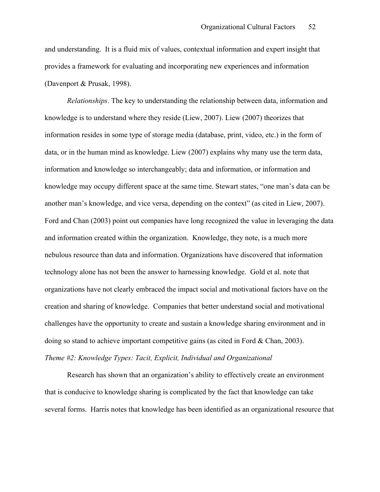and understanding. It is a fluid mix of values, contextual information and expert insight that provides a framework for evaluating and incorporating new experiences and information (Davenport & Prusak, 1998).

*Relationships*. The key to understanding the relationship between data, information and knowledge is to understand where they reside (Liew, 2007). Liew (2007) theorizes that information resides in some type of storage media (database, print, video, etc.) in the form of data, or in the human mind as knowledge. Liew (2007) explains why many use the term data, information and knowledge so interchangeably; data and information, or information and knowledge may occupy different space at the same time. Stewart states, "one man's data can be another man's knowledge, and vice versa, depending on the context" (as cited in Liew, 2007). Ford and Chan (2003) point out companies have long recognized the value in leveraging the data and information created within the organization. Knowledge, they note, is a much more nebulous resource than data and information. Organizations have discovered that information technology alone has not been the answer to harnessing knowledge. Gold et al. note that organizations have not clearly embraced the impact social and motivational factors have on the creation and sharing of knowledge. Companies that better understand social and motivational challenges have the opportunity to create and sustain a knowledge sharing environment and in doing so stand to achieve important competitive gains (as cited in Ford & Chan, 2003). *Theme #2: Knowledge Types: Tacit, Explicit, Individual and Organizational*

Research has shown that an organization's ability to effectively create an environment that is conducive to knowledge sharing is complicated by the fact that knowledge can take several forms. Harris notes that knowledge has been identified as an organizational resource that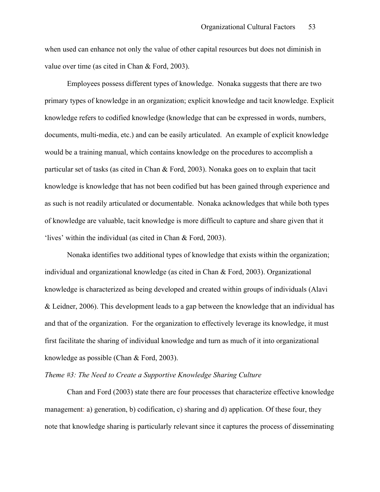when used can enhance not only the value of other capital resources but does not diminish in value over time (as cited in Chan & Ford, 2003).

Employees possess different types of knowledge. Nonaka suggests that there are two primary types of knowledge in an organization; explicit knowledge and tacit knowledge. Explicit knowledge refers to codified knowledge (knowledge that can be expressed in words, numbers, documents, multi-media, etc.) and can be easily articulated. An example of explicit knowledge would be a training manual, which contains knowledge on the procedures to accomplish a particular set of tasks (as cited in Chan & Ford, 2003). Nonaka goes on to explain that tacit knowledge is knowledge that has not been codified but has been gained through experience and as such is not readily articulated or documentable. Nonaka acknowledges that while both types of knowledge are valuable, tacit knowledge is more difficult to capture and share given that it 'lives' within the individual (as cited in Chan & Ford, 2003).

Nonaka identifies two additional types of knowledge that exists within the organization; individual and organizational knowledge (as cited in Chan & Ford, 2003). Organizational knowledge is characterized as being developed and created within groups of individuals (Alavi & Leidner, 2006). This development leads to a gap between the knowledge that an individual has and that of the organization. For the organization to effectively leverage its knowledge, it must first facilitate the sharing of individual knowledge and turn as much of it into organizational knowledge as possible (Chan & Ford, 2003).

# *Theme #3: The Need to Create a Supportive Knowledge Sharing Culture*

Chan and Ford (2003) state there are four processes that characterize effective knowledge management: a) generation, b) codification, c) sharing and d) application. Of these four, they note that knowledge sharing is particularly relevant since it captures the process of disseminating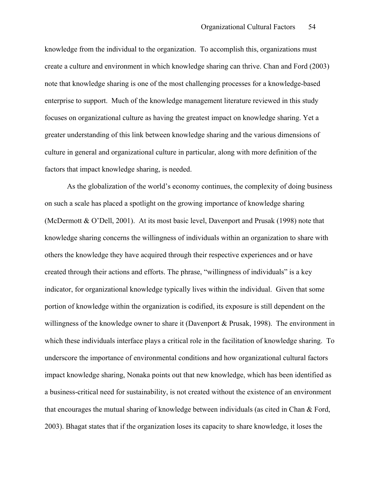knowledge from the individual to the organization. To accomplish this, organizations must create a culture and environment in which knowledge sharing can thrive. Chan and Ford (2003) note that knowledge sharing is one of the most challenging processes for a knowledge-based enterprise to support. Much of the knowledge management literature reviewed in this study focuses on organizational culture as having the greatest impact on knowledge sharing. Yet a greater understanding of this link between knowledge sharing and the various dimensions of culture in general and organizational culture in particular, along with more definition of the factors that impact knowledge sharing, is needed.

As the globalization of the world's economy continues, the complexity of doing business on such a scale has placed a spotlight on the growing importance of knowledge sharing (McDermott & O'Dell, 2001). At its most basic level, Davenport and Prusak (1998) note that knowledge sharing concerns the willingness of individuals within an organization to share with others the knowledge they have acquired through their respective experiences and or have created through their actions and efforts. The phrase, "willingness of individuals" is a key indicator, for organizational knowledge typically lives within the individual. Given that some portion of knowledge within the organization is codified, its exposure is still dependent on the willingness of the knowledge owner to share it (Davenport  $\&$  Prusak, 1998). The environment in which these individuals interface plays a critical role in the facilitation of knowledge sharing. To underscore the importance of environmental conditions and how organizational cultural factors impact knowledge sharing, Nonaka points out that new knowledge, which has been identified as a business-critical need for sustainability, is not created without the existence of an environment that encourages the mutual sharing of knowledge between individuals (as cited in Chan & Ford, 2003). Bhagat states that if the organization loses its capacity to share knowledge, it loses the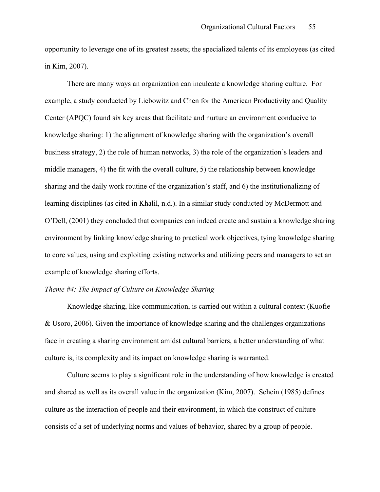opportunity to leverage one of its greatest assets; the specialized talents of its employees (as cited in Kim, 2007).

There are many ways an organization can inculcate a knowledge sharing culture. For example, a study conducted by Liebowitz and Chen for the American Productivity and Quality Center (APQC) found six key areas that facilitate and nurture an environment conducive to knowledge sharing: 1) the alignment of knowledge sharing with the organization's overall business strategy, 2) the role of human networks, 3) the role of the organization's leaders and middle managers, 4) the fit with the overall culture, 5) the relationship between knowledge sharing and the daily work routine of the organization's staff, and 6) the institutionalizing of learning disciplines (as cited in Khalil, n.d.). In a similar study conducted by McDermott and O'Dell, (2001) they concluded that companies can indeed create and sustain a knowledge sharing environment by linking knowledge sharing to practical work objectives, tying knowledge sharing to core values, using and exploiting existing networks and utilizing peers and managers to set an example of knowledge sharing efforts.

## *Theme #4: The Impact of Culture on Knowledge Sharing*

Knowledge sharing, like communication, is carried out within a cultural context (Kuofie & Usoro, 2006). Given the importance of knowledge sharing and the challenges organizations face in creating a sharing environment amidst cultural barriers, a better understanding of what culture is, its complexity and its impact on knowledge sharing is warranted.

Culture seems to play a significant role in the understanding of how knowledge is created and shared as well as its overall value in the organization (Kim, 2007). Schein (1985) defines culture as the interaction of people and their environment, in which the construct of culture consists of a set of underlying norms and values of behavior, shared by a group of people.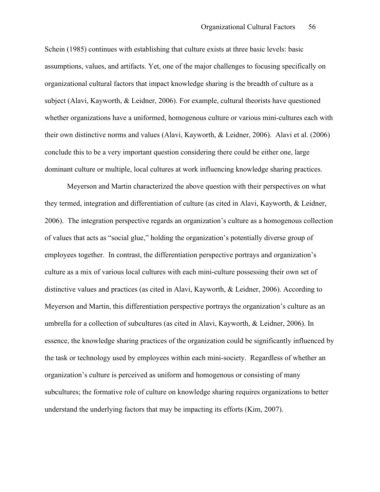Schein (1985) continues with establishing that culture exists at three basic levels: basic assumptions, values, and artifacts. Yet, one of the major challenges to focusing specifically on organizational cultural factors that impact knowledge sharing is the breadth of culture as a subject (Alavi, Kayworth, & Leidner, 2006). For example, cultural theorists have questioned whether organizations have a uniformed, homogenous culture or various mini-cultures each with their own distinctive norms and values (Alavi, Kayworth, & Leidner, 2006). Alavi et al. (2006) conclude this to be a very important question considering there could be either one, large dominant culture or multiple, local cultures at work influencing knowledge sharing practices.

Meyerson and Martin characterized the above question with their perspectives on what they termed, integration and differentiation of culture (as cited in Alavi, Kayworth, & Leidner, 2006). The integration perspective regards an organization's culture as a homogenous collection of values that acts as "social glue," holding the organization's potentially diverse group of employees together. In contrast, the differentiation perspective portrays and organization's culture as a mix of various local cultures with each mini-culture possessing their own set of distinctive values and practices (as cited in Alavi, Kayworth, & Leidner, 2006). According to Meyerson and Martin, this differentiation perspective portrays the organization's culture as an umbrella for a collection of subcultures (as cited in Alavi, Kayworth, & Leidner, 2006). In essence, the knowledge sharing practices of the organization could be significantly influenced by the task or technology used by employees within each mini-society. Regardless of whether an organization's culture is perceived as uniform and homogenous or consisting of many subcultures; the formative role of culture on knowledge sharing requires organizations to better understand the underlying factors that may be impacting its efforts (Kim, 2007).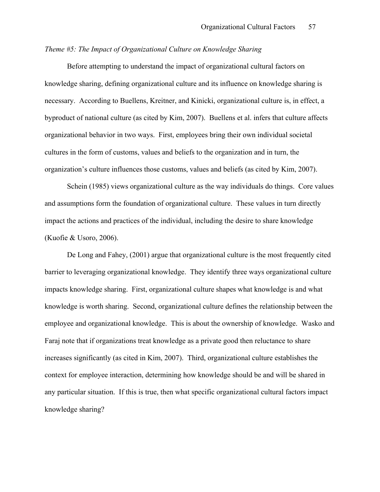# *Theme #5: The Impact of Organizational Culture on Knowledge Sharing*

Before attempting to understand the impact of organizational cultural factors on knowledge sharing, defining organizational culture and its influence on knowledge sharing is necessary. According to Buellens, Kreitner, and Kinicki, organizational culture is, in effect, a byproduct of national culture (as cited by Kim, 2007). Buellens et al. infers that culture affects organizational behavior in two ways. First, employees bring their own individual societal cultures in the form of customs, values and beliefs to the organization and in turn, the organization's culture influences those customs, values and beliefs (as cited by Kim, 2007).

Schein (1985) views organizational culture as the way individuals do things. Core values and assumptions form the foundation of organizational culture. These values in turn directly impact the actions and practices of the individual, including the desire to share knowledge (Kuofie & Usoro, 2006).

De Long and Fahey, (2001) argue that organizational culture is the most frequently cited barrier to leveraging organizational knowledge. They identify three ways organizational culture impacts knowledge sharing. First, organizational culture shapes what knowledge is and what knowledge is worth sharing. Second, organizational culture defines the relationship between the employee and organizational knowledge. This is about the ownership of knowledge. Wasko and Faraj note that if organizations treat knowledge as a private good then reluctance to share increases significantly (as cited in Kim, 2007). Third, organizational culture establishes the context for employee interaction, determining how knowledge should be and will be shared in any particular situation. If this is true, then what specific organizational cultural factors impact knowledge sharing?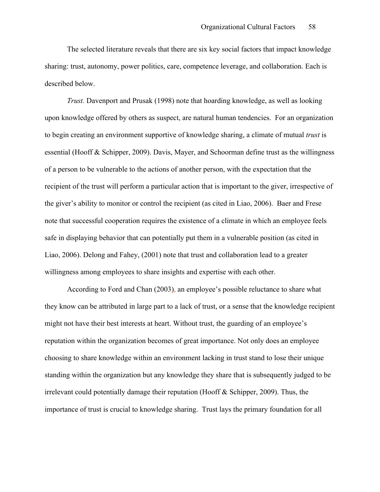The selected literature reveals that there are six key social factors that impact knowledge sharing: trust, autonomy, power politics, care, competence leverage, and collaboration. Each is described below.

*Trust.* Davenport and Prusak (1998) note that hoarding knowledge, as well as looking upon knowledge offered by others as suspect, are natural human tendencies. For an organization to begin creating an environment supportive of knowledge sharing, a climate of mutual *trust* is essential (Hooff & Schipper, 2009). Davis, Mayer, and Schoorman define trust as the willingness of a person to be vulnerable to the actions of another person, with the expectation that the recipient of the trust will perform a particular action that is important to the giver, irrespective of the giver's ability to monitor or control the recipient (as cited in Liao, 2006). Baer and Frese note that successful cooperation requires the existence of a climate in which an employee feels safe in displaying behavior that can potentially put them in a vulnerable position (as cited in Liao, 2006). Delong and Fahey, (2001) note that trust and collaboration lead to a greater willingness among employees to share insights and expertise with each other.

According to Ford and Chan (2003), an employee's possible reluctance to share what they know can be attributed in large part to a lack of trust, or a sense that the knowledge recipient might not have their best interests at heart. Without trust, the guarding of an employee's reputation within the organization becomes of great importance. Not only does an employee choosing to share knowledge within an environment lacking in trust stand to lose their unique standing within the organization but any knowledge they share that is subsequently judged to be irrelevant could potentially damage their reputation (Hooff & Schipper, 2009). Thus, the importance of trust is crucial to knowledge sharing. Trust lays the primary foundation for all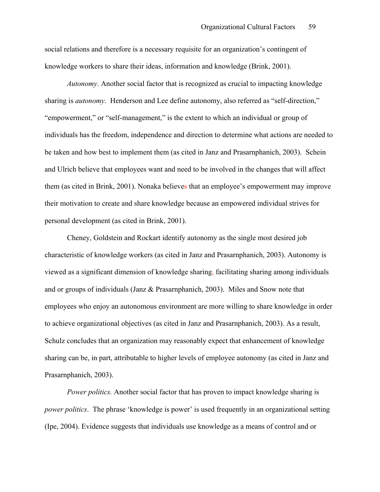social relations and therefore is a necessary requisite for an organization's contingent of knowledge workers to share their ideas, information and knowledge (Brink, 2001).

*Autonomy*. Another social factor that is recognized as crucial to impacting knowledge sharing is *autonomy*. Henderson and Lee define autonomy, also referred as "self-direction," "empowerment," or "self-management," is the extent to which an individual or group of individuals has the freedom, independence and direction to determine what actions are needed to be taken and how best to implement them (as cited in Janz and Prasarnphanich, 2003). Schein and Ulrich believe that employees want and need to be involved in the changes that will affect them (as cited in Brink, 2001). Nonaka believes that an employee's empowerment may improve their motivation to create and share knowledge because an empowered individual strives for personal development (as cited in Brink, 2001).

Cheney, Goldstein and Rockart identify autonomy as the single most desired job characteristic of knowledge workers (as cited in Janz and Prasarnphanich, 2003). Autonomy is viewed as a significant dimension of knowledge sharing, facilitating sharing among individuals and or groups of individuals (Janz & Prasarnphanich, 2003). Miles and Snow note that employees who enjoy an autonomous environment are more willing to share knowledge in order to achieve organizational objectives (as cited in Janz and Prasarnphanich, 2003). As a result, Schulz concludes that an organization may reasonably expect that enhancement of knowledge sharing can be, in part, attributable to higher levels of employee autonomy (as cited in Janz and Prasarnphanich, 2003).

*Power politics.* Another social factor that has proven to impact knowledge sharing is *power politics*. The phrase 'knowledge is power' is used frequently in an organizational setting (Ipe, 2004). Evidence suggests that individuals use knowledge as a means of control and or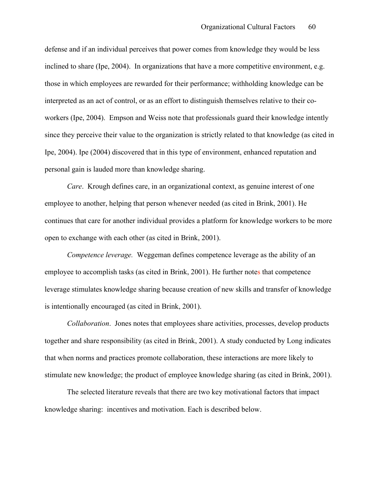defense and if an individual perceives that power comes from knowledge they would be less inclined to share (Ipe, 2004). In organizations that have a more competitive environment, e.g. those in which employees are rewarded for their performance; withholding knowledge can be interpreted as an act of control, or as an effort to distinguish themselves relative to their coworkers (Ipe, 2004). Empson and Weiss note that professionals guard their knowledge intently since they perceive their value to the organization is strictly related to that knowledge (as cited in Ipe, 2004). Ipe (2004) discovered that in this type of environment, enhanced reputation and personal gain is lauded more than knowledge sharing.

*Care*. Krough defines care, in an organizational context, as genuine interest of one employee to another, helping that person whenever needed (as cited in Brink, 2001). He continues that care for another individual provides a platform for knowledge workers to be more open to exchange with each other (as cited in Brink, 2001).

*Competence leverage.* Weggeman defines competence leverage as the ability of an employee to accomplish tasks (as cited in Brink, 2001). He further notes that competence leverage stimulates knowledge sharing because creation of new skills and transfer of knowledge is intentionally encouraged (as cited in Brink, 2001).

*Collaboration*. Jones notes that employees share activities, processes, develop products together and share responsibility (as cited in Brink, 2001). A study conducted by Long indicates that when norms and practices promote collaboration, these interactions are more likely to stimulate new knowledge; the product of employee knowledge sharing (as cited in Brink, 2001).

The selected literature reveals that there are two key motivational factors that impact knowledge sharing: incentives and motivation. Each is described below.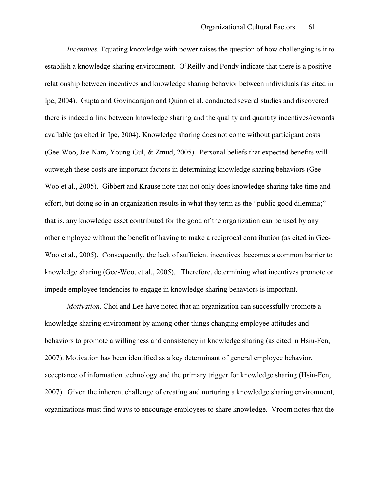*Incentives.* Equating knowledge with power raises the question of how challenging is it to establish a knowledge sharing environment. O'Reilly and Pondy indicate that there is a positive relationship between incentives and knowledge sharing behavior between individuals (as cited in Ipe, 2004). Gupta and Govindarajan and Quinn et al. conducted several studies and discovered there is indeed a link between knowledge sharing and the quality and quantity incentives/rewards available (as cited in Ipe, 2004). Knowledge sharing does not come without participant costs (Gee-Woo, Jae-Nam, Young-Gul, & Zmud, 2005). Personal beliefs that expected benefits will outweigh these costs are important factors in determining knowledge sharing behaviors (Gee-Woo et al., 2005). Gibbert and Krause note that not only does knowledge sharing take time and effort, but doing so in an organization results in what they term as the "public good dilemma;" that is, any knowledge asset contributed for the good of the organization can be used by any other employee without the benefit of having to make a reciprocal contribution (as cited in Gee-Woo et al., 2005). Consequently, the lack of sufficient incentives ,becomes a common barrier to knowledge sharing (Gee-Woo, et al., 2005). Therefore, determining what incentives promote or impede employee tendencies to engage in knowledge sharing behaviors is important.

*Motivation*. Choi and Lee have noted that an organization can successfully promote a knowledge sharing environment by among other things changing employee attitudes and behaviors to promote a willingness and consistency in knowledge sharing (as cited in Hsiu-Fen, 2007). Motivation has been identified as a key determinant of general employee behavior, acceptance of information technology and the primary trigger for knowledge sharing (Hsiu-Fen, 2007). Given the inherent challenge of creating and nurturing a knowledge sharing environment, organizations must find ways to encourage employees to share knowledge. Vroom notes that the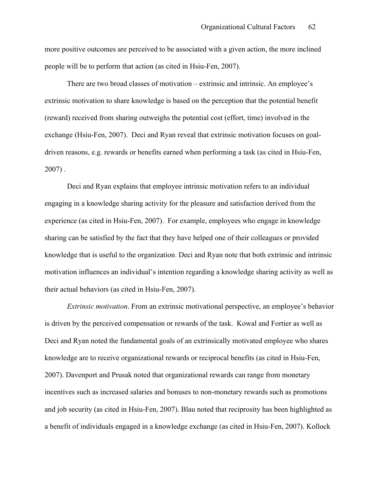more positive outcomes are perceived to be associated with a given action, the more inclined people will be to perform that action (as cited in Hsiu-Fen, 2007).

There are two broad classes of motivation – extrinsic and intrinsic. An employee's extrinsic motivation to share knowledge is based on the perception that the potential benefit (reward) received from sharing outweighs the potential cost (effort, time) involved in the exchange (Hsiu-Fen, 2007). Deci and Ryan reveal that extrinsic motivation focuses on goaldriven reasons, e.g. rewards or benefits earned when performing a task (as cited in Hsiu-Fen,  $2007$ ).

Deci and Ryan explains that employee intrinsic motivation refers to an individual engaging in a knowledge sharing activity for the pleasure and satisfaction derived from the experience (as cited in Hsiu-Fen, 2007). For example, employees who engage in knowledge sharing can be satisfied by the fact that they have helped one of their colleagues or provided knowledge that is useful to the organization. Deci and Ryan note that both extrinsic and intrinsic motivation influences an individual's intention regarding a knowledge sharing activity as well as their actual behaviors (as cited in Hsiu-Fen, 2007).

*Extrinsic motivation*. From an extrinsic motivational perspective, an employee's behavior is driven by the perceived compensation or rewards of the task. Kowal and Fortier as well as Deci and Ryan noted the fundamental goals of an extrinsically motivated employee who shares knowledge are to receive organizational rewards or reciprocal benefits (as cited in Hsiu-Fen, 2007). Davenport and Prusak noted that organizational rewards can range from monetary incentives such as increased salaries and bonuses to non-monetary rewards such as promotions and job security (as cited in Hsiu-Fen, 2007). Blau noted that reciprosity has been highlighted as a benefit of individuals engaged in a knowledge exchange (as cited in Hsiu-Fen, 2007). Kollock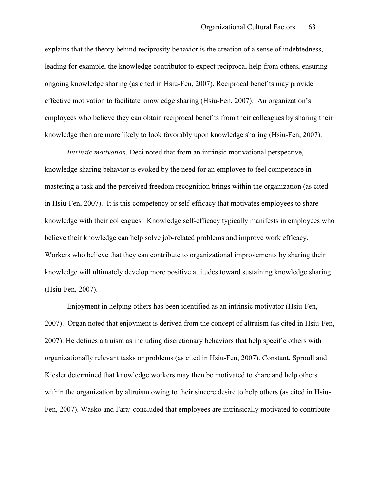explains that the theory behind reciprosity behavior is the creation of a sense of indebtedness, leading for example, the knowledge contributor to expect reciprocal help from others, ensuring ongoing knowledge sharing (as cited in Hsiu-Fen, 2007). Reciprocal benefits may provide effective motivation to facilitate knowledge sharing (Hsiu-Fen, 2007). An organization's employees who believe they can obtain reciprocal benefits from their colleagues by sharing their knowledge then are more likely to look favorably upon knowledge sharing (Hsiu-Fen, 2007).

*Intrinsic motivation*. Deci noted that from an intrinsic motivational perspective, knowledge sharing behavior is evoked by the need for an employee to feel competence in mastering a task and the perceived freedom recognition brings within the organization (as cited in Hsiu-Fen, 2007). It is this competency or self-efficacy that motivates employees to share knowledge with their colleagues. Knowledge self-efficacy typically manifests in employees who believe their knowledge can help solve job-related problems and improve work efficacy. Workers who believe that they can contribute to organizational improvements by sharing their knowledge will ultimately develop more positive attitudes toward sustaining knowledge sharing (Hsiu-Fen, 2007).

Enjoyment in helping others has been identified as an intrinsic motivator (Hsiu-Fen, 2007). Organ noted that enjoyment is derived from the concept of altruism (as cited in Hsiu-Fen, 2007). He defines altruism as including discretionary behaviors that help specific others with organizationally relevant tasks or problems (as cited in Hsiu-Fen, 2007). Constant, Sproull and Kiesler determined that knowledge workers may then be motivated to share and help others within the organization by altruism owing to their sincere desire to help others (as cited in Hsiu-Fen, 2007). Wasko and Faraj concluded that employees are intrinsically motivated to contribute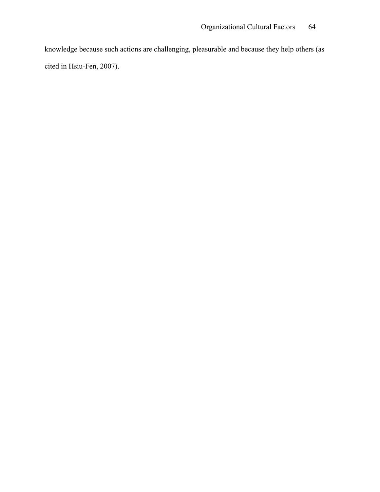knowledge because such actions are challenging, pleasurable and because they help others (as cited in Hsiu-Fen, 2007).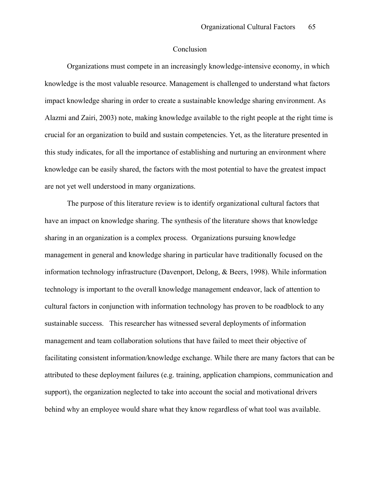# Conclusion

Organizations must compete in an increasingly knowledge-intensive economy, in which knowledge is the most valuable resource. Management is challenged to understand what factors impact knowledge sharing in order to create a sustainable knowledge sharing environment. As Alazmi and Zairi, 2003) note, making knowledge available to the right people at the right time is crucial for an organization to build and sustain competencies. Yet, as the literature presented in this study indicates, for all the importance of establishing and nurturing an environment where knowledge can be easily shared, the factors with the most potential to have the greatest impact are not yet well understood in many organizations.

The purpose of this literature review is to identify organizational cultural factors that have an impact on knowledge sharing. The synthesis of the literature shows that knowledge sharing in an organization is a complex process. Organizations pursuing knowledge management in general and knowledge sharing in particular have traditionally focused on the information technology infrastructure (Davenport, Delong, & Beers, 1998). While information technology is important to the overall knowledge management endeavor, lack of attention to cultural factors in conjunction with information technology has proven to be roadblock to any sustainable success. This researcher has witnessed several deployments of information management and team collaboration solutions that have failed to meet their objective of facilitating consistent information/knowledge exchange. While there are many factors that can be attributed to these deployment failures (e.g. training, application champions, communication and support), the organization neglected to take into account the social and motivational drivers behind why an employee would share what they know regardless of what tool was available.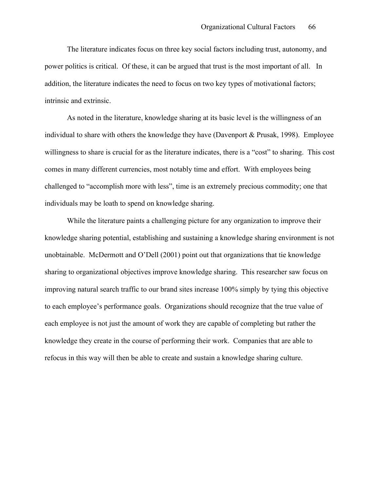The literature indicates focus on three key social factors including trust, autonomy, and power politics is critical. Of these, it can be argued that trust is the most important of all. In addition, the literature indicates the need to focus on two key types of motivational factors; intrinsic and extrinsic.

As noted in the literature, knowledge sharing at its basic level is the willingness of an individual to share with others the knowledge they have (Davenport & Prusak, 1998). Employee willingness to share is crucial for as the literature indicates, there is a "cost" to sharing. This cost comes in many different currencies, most notably time and effort. With employees being challenged to "accomplish more with less", time is an extremely precious commodity; one that individuals may be loath to spend on knowledge sharing.

While the literature paints a challenging picture for any organization to improve their knowledge sharing potential, establishing and sustaining a knowledge sharing environment is not unobtainable. McDermott and O'Dell (2001) point out that organizations that tie knowledge sharing to organizational objectives improve knowledge sharing. This researcher saw focus on improving natural search traffic to our brand sites increase 100% simply by tying this objective to each employee's performance goals. Organizations should recognize that the true value of each employee is not just the amount of work they are capable of completing but rather the knowledge they create in the course of performing their work. Companies that are able to refocus in this way will then be able to create and sustain a knowledge sharing culture.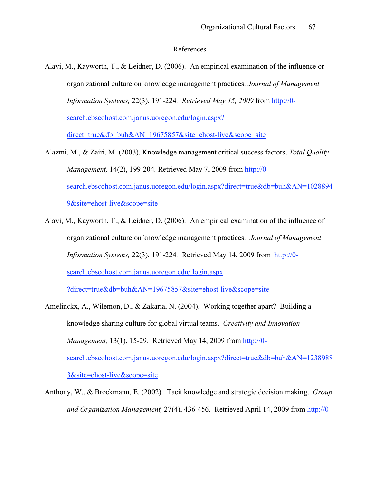#### References

- Alavi, M., Kayworth, T., & Leidner, D. (2006). An empirical examination of the influence or organizational culture on knowledge management practices. *Journal of Management Information Systems,* 22(3), 191-224*. Retrieved May 15, 2009* from http://0 search.ebscohost.com.janus.uoregon.edu/login.aspx? direct=true&db=buh&AN=19675857&site=ehost-live&scope=site
- Alazmi, M., & Zairi, M. (2003). Knowledge management critical success factors. *Total Quality Management,* 14(2), 199-204*.* Retrieved May 7, 2009 from http://0 search.ebscohost.com.janus.uoregon.edu/login.aspx?direct=true&db=buh&AN=1028894 9&site=ehost-live&scope=site
- Alavi, M., Kayworth, T., & Leidner, D. (2006). An empirical examination of the influence of organizational culture on knowledge management practices. *Journal of Management Information Systems,* 22(3), 191-224*.* Retrieved May 14, 2009 from http://0 search.ebscohost.com.janus.uoregon.edu/ login.aspx

?direct=true&db=buh&AN=19675857&site=ehost-live&scope=site

- Amelinckx, A., Wilemon, D., & Zakaria, N. (2004). Working together apart? Building a knowledge sharing culture for global virtual teams. *Creativity and Innovation Management,* 13(1), 15-29*.* Retrieved May 14, 2009 from http://0 search.ebscohost.com.janus.uoregon.edu/login.aspx?direct=true&db=buh&AN=1238988 3&site=ehost-live&scope=site
- Anthony, W., & Brockmann, E. (2002). Tacit knowledge and strategic decision making. *Group and Organization Management,* 27(4), 436-456*.* Retrieved April 14, 2009 from http://0-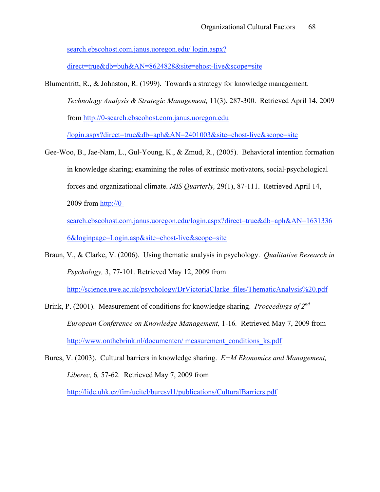search.ebscohost.com.janus.uoregon.edu/ login.aspx?

direct=true&db=buh&AN=8624828&site=ehost-live&scope=site

Blumentritt, R., & Johnston, R. (1999). Towards a strategy for knowledge management. *Technology Analysis & Strategic Management,* 11(3), 287-300. Retrieved April 14, 2009 from http://0-search.ebscohost.com.janus.uoregon.edu

/login.aspx?direct=true&db=aph&AN=2401003&site=ehost-live&scope=site

Gee-Woo, B., Jae-Nam, L., Gul-Young, K., & Zmud, R., (2005). Behavioral intention formation in knowledge sharing; examining the roles of extrinsic motivators, social-psychological forces and organizational climate. *MIS Quarterly,* 29(1), 87-111. Retrieved April 14, 2009 from http://0-

search.ebscohost.com.janus.uoregon.edu/login.aspx?direct=true&db=aph&AN=1631336 6&loginpage=Login.asp&site=ehost-live&scope=site

Braun, V., & Clarke, V. (2006). Using thematic analysis in psychology. *Qualitative Research in Psychology,* 3, 77-101*.* Retrieved May 12, 2009 from

http://science.uwe.ac.uk/psychology/DrVictoriaClarke\_files/ThematicAnalysis%20.pdf

- Brink, P. (2001). Measurement of conditions for knowledge sharing. *Proceedings of 2nd European Conference on Knowledge Management,* 1-16*.* Retrieved May 7, 2009 from http://www.onthebrink.nl/documenten/ measurement\_conditions\_ks.pdf
- Bures, V. (2003). Cultural barriers in knowledge sharing. *E+M Ekonomics and Management, Liberec,* 6*,* 57-62*.* Retrieved May 7, 2009 from

http://lide.uhk.cz/fim/ucitel/buresvl1/publications/CulturalBarriers.pdf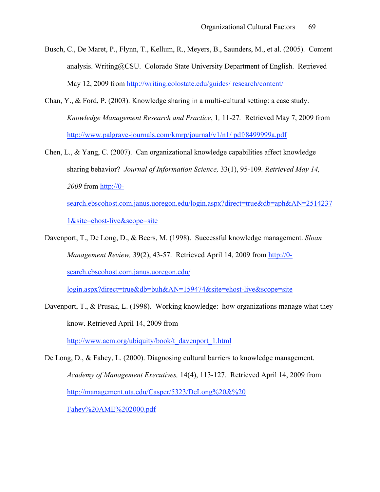- Busch, C., De Maret, P., Flynn, T., Kellum, R., Meyers, B., Saunders, M., et al. (2005). Content analysis. Writing@CSU. Colorado State University Department of English. Retrieved May 12, 2009 from http://writing.colostate.edu/guides/ research/content/
- Chan, Y., & Ford, P. (2003). Knowledge sharing in a multi-cultural setting: a case study. *Knowledge Management Research and Practice*, 1*,* 11-27*.* Retrieved May 7, 2009 from http://www.palgrave-journals.com/kmrp/journal/v1/n1/ pdf/8499999a.pdf
- Chen, L.,  $\&$  Yang, C. (2007). Can organizational knowledge capabilities affect knowledge sharing behavior? *Journal of Information Science,* 33(1), 95-109*. Retrieved May 14, 2009* from http://0-

search.ebscohost.com.janus.uoregon.edu/login.aspx?direct=true&db=aph&AN=2514237 1&site=ehost-live&scope=site

Davenport, T., De Long, D., & Beers, M. (1998). Successful knowledge management. *Sloan Management Review,* 39(2), 43-57. Retrieved April 14, 2009 from http://0 search.ebscohost.com.janus.uoregon.edu/

login.aspx?direct=true&db=buh&AN=159474&site=ehost-live&scope=site

Davenport, T., & Prusak, L. (1998). Working knowledge: how organizations manage what they know. Retrieved April 14, 2009 from http://www.acm.org/ubiquity/book/t\_davenport\_1.html

De Long, D., & Fahey, L. (2000). Diagnosing cultural barriers to knowledge management. *Academy of Management Executives,* 14(4), 113-127*.* Retrieved April 14, 2009 from http://management.uta.edu/Casper/5323/DeLong%20&%20 Fahey%20AME%202000.pdf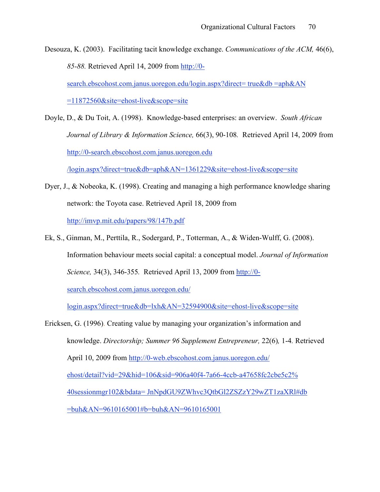Desouza, K. (2003). Facilitating tacit knowledge exchange. *Communications of the ACM,* 46(6), *85-88.* Retrieved April 14, 2009 from http://0 search.ebscohost.com.janus.uoregon.edu/login.aspx?direct= true&db =aph&AN =11872560&site=ehost-live&scope=site

Doyle, D., & Du Toit, A. (1998). Knowledge-based enterprises: an overview. *South African Journal of Library & Information Science,* 66(3), 90-108*.* Retrieved April 14, 2009 from http://0-search.ebscohost.com.janus.uoregon.edu

/login.aspx?direct=true&db=aph&AN=1361229&site=ehost-live&scope=site

- Dyer, J., & Nobeoka, K. (1998). Creating and managing a high performance knowledge sharing network: the Toyota case. Retrieved April 18, 2009 from http://imvp.mit.edu/papers/98/147b.pdf
- Ek, S., Ginman, M., Perttila, R., Sodergard, P., Totterman, A., & Widen-Wulff, G. (2008). Information behaviour meets social capital: a conceptual model. *Journal of Information Science,* 34(3), 346-355*.* Retrieved April 13, 2009 from http://0-

search.ebscohost.com.janus.uoregon.edu/

login.aspx?direct=true&db=lxh&AN=32594900&site=ehost-live&scope=site

Ericksen, G. (1996). Creating value by managing your organization's information and knowledge. *Directorship; Summer 96 Supplement Entrepreneur,* 22(6)*,* 1-4*.* Retrieved April 10, 2009 from http://0-web.ebscohost.com.janus.uoregon.edu/ ehost/detail?vid=29&hid=106&sid=906a40f4-7a66-4ccb-a47658fc2cbe5c2% 40sessionmgr102&bdata= JnNpdGU9ZWhvc3QtbGl2ZSZzY29wZT1zaXRl#db =buh&AN=9610165001#b=buh&AN=9610165001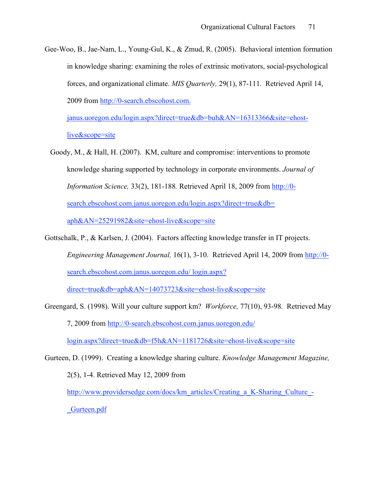Gee-Woo, B., Jae-Nam, L., Young-Gul, K., & Zmud, R. (2005). Behavioral intention formation in knowledge sharing: examining the roles of extrinsic motivators, social-psychological forces, and organizational climate. *MIS Quarterly,* 29(1), 87-111*.* Retrieved April 14, 2009 from http://0-search.ebscohost.com.

janus.uoregon.edu/login.aspx?direct=true&db=buh&AN=16313366&site=ehostlive&scope=site

- Goody, M., & Hall, H. (2007). KM, culture and compromise: interventions to promote knowledge sharing supported by technology in corporate environments. *Journal of Information Science,* 33(2), 181-188*.* Retrieved April 18, 2009 from http://0 search.ebscohost.com.janus.uoregon.edu/login.aspx?direct=true&db= aph&AN=25291982&site=ehost-live&scope=site
- Gottschalk, P., & Karlsen, J. (2004). Factors affecting knowledge transfer in IT projects. *Engineering Management Journal,* 16(1), 3-10. Retrieved April 14, 2009 from http://0 search.ebscohost.com.janus.uoregon.edu/ login.aspx?

direct=true&db=aph&AN=14073723&site=ehost-live&scope=site

Greengard, S. (1998). Will your culture support km? *Workforce,* 77(10), 93-98*.* Retrieved May 7, 2009 from http://0-search.ebscohost.com.janus.uoregon.edu/

login.aspx?direct=true&db=f5h&AN=1181726&site=ehost-live&scope=site

Gurteen, D. (1999). Creating a knowledge sharing culture. *Knowledge Management Magazine,*  2(5), 1-4. Retrieved May 12, 2009 from http://www.providersedge.com/docs/km\_articles/Creating\_a\_K-Sharing\_Culture\_-\_Gurteen.pdf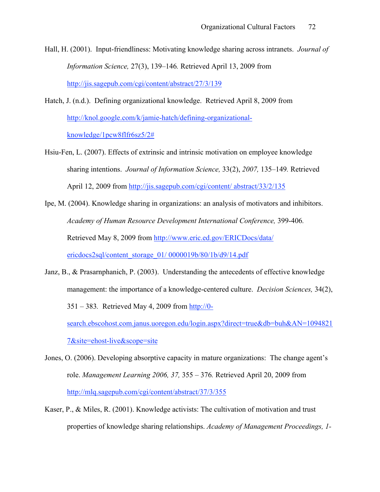- Hall, H. (2001). Input-friendliness: Motivating knowledge sharing across intranets. *Journal of Information Science,* 27(3), 139–146*.* Retrieved April 13, 2009 from http://jis.sagepub.com/cgi/content/abstract/27/3/139
- Hatch, J. (n.d.). Defining organizational knowledge. Retrieved April 8, 2009 from http://knol.google.com/k/jamie-hatch/defining-organizationalknowledge/1pcw8flfr6sz5/2#
- Hsiu-Fen, L. (2007). Effects of extrinsic and intrinsic motivation on employee knowledge sharing intentions. *Journal of Information Science,* 33(2), *2007,* 135–149*.* Retrieved April 12, 2009 from http://jis.sagepub.com/cgi/content/ abstract/33/2/135
- Ipe, M. (2004). Knowledge sharing in organizations: an analysis of motivators and inhibitors. *Academy of Human Resource Development International Conference,* 399-406*.* Retrieved May 8, 2009 from http://www.eric.ed.gov/ERICDocs/data/ ericdocs2sql/content\_storage\_01/ 0000019b/80/1b/d9/14.pdf
- Janz, B., & Prasarnphanich, P. (2003). Understanding the antecedents of effective knowledge management: the importance of a knowledge-centered culture. *Decision Sciences,* 34(2), 351 – 383*.* Retrieved May 4, 2009 from http://0 search.ebscohost.com.janus.uoregon.edu/login.aspx?direct=true&db=buh&AN=1094821 7&site=ehost-live&scope=site
- Jones, O. (2006). Developing absorptive capacity in mature organizations: The change agent's role. *Management Learning 2006, 37,* 355 – 376*.* Retrieved April 20, 2009 from http://mlq.sagepub.com/cgi/content/abstract/37/3/355
- Kaser, P., & Miles, R. (2001). Knowledge activists: The cultivation of motivation and trust properties of knowledge sharing relationships. *Academy of Management Proceedings, 1-*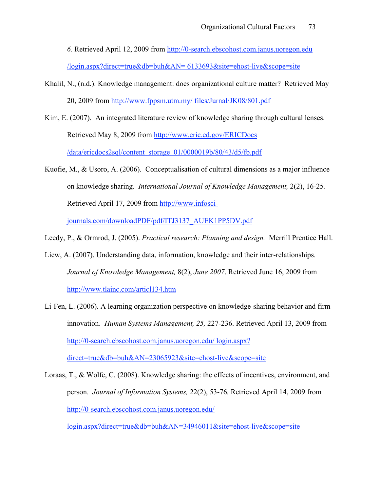*6.* Retrieved April 12, 2009 from http://0-search.ebscohost.com.janus.uoregon.edu

/login.aspx?direct=true&db=buh&AN= 6133693&site=ehost-live&scope=site

- Khalil, N., (n.d.). Knowledge management: does organizational culture matter? Retrieved May 20, 2009 from http://www.fppsm.utm.my/ files/Jurnal/JK08/801.pdf
- Kim, E. (2007). An integrated literature review of knowledge sharing through cultural lenses. Retrieved May 8, 2009 from http://www.eric.ed.gov/ERICDocs /data/ericdocs2sql/content\_storage\_01/0000019b/80/43/d5/fb.pdf
- Kuofie, M., & Usoro, A. (2006). Conceptualisation of cultural dimensions as a major influence on knowledge sharing. *International Journal of Knowledge Management,* 2(2), 16-25*.*  Retrieved April 17, 2009 from http://www.infoscijournals.com/downloadPDF/pdf/ITJ3137\_AUEK1PP5DV.pdf
- Leedy, P., & Ormrod, J. (2005). *Practical research: Planning and design.* Merrill Prentice Hall.
- Liew, A. (2007). Understanding data, information, knowledge and their inter-relationships. *Journal of Knowledge Management,* 8(2), *June 2007*. Retrieved June 16, 2009 from http://www.tlainc.com/articl134.htm
- Li-Fen, L. (2006). A learning organization perspective on knowledge-sharing behavior and firm innovation. *Human Systems Management, 25,* 227-236. Retrieved April 13, 2009 from http://0-search.ebscohost.com.janus.uoregon.edu/ login.aspx? direct=true&db=buh&AN=23065923&site=ehost-live&scope=site

Loraas, T., & Wolfe, C. (2008). Knowledge sharing: the effects of incentives, environment, and person. *Journal of Information Systems,* 22(2), 53-76*.* Retrieved April 14, 2009 from http://0-search.ebscohost.com.janus.uoregon.edu/

login.aspx?direct=true&db=buh&AN=34946011&site=ehost-live&scope=site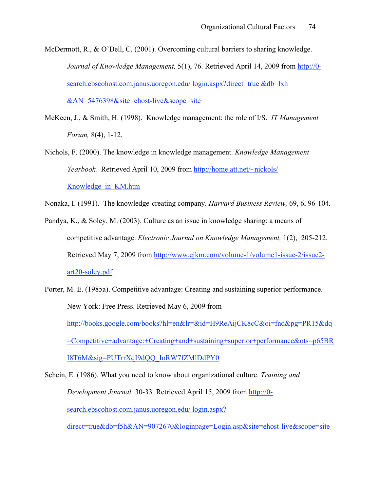McDermott, R., & O'Dell, C. (2001). Overcoming cultural barriers to sharing knowledge. *Journal of Knowledge Management,* 5(1), 76. Retrieved April 14, 2009 from http://0 search.ebscohost.com.janus.uoregon.edu/ login.aspx?direct=true &db=lxh &AN=5476398&site=ehost-live&scope=site

- McKeen, J., & Smith, H. (1998). Knowledge management: the role of I/S. *IT Management Forum,* 8(4), 1-12.
- Nichols, F. (2000). The knowledge in knowledge management. *Knowledge Management Yearbook.* Retrieved April 10, 2009 from http://home.att.net/~nickols/ Knowledge\_in\_KM.htm
- Nonaka, I. (1991). The knowledge-creating company. *Harvard Business Review,* 69, 6, 96-104*.*
- Pandya, K., & Soley, M. (2003). Culture as an issue in knowledge sharing: a means of competitive advantage. *Electronic Journal on Knowledge Management,* 1(2),205-212*.* Retrieved May 7, 2009 from http://www.ejkm.com/volume-1/volume1-issue-2/issue2 art20-soley.pdf
- Porter, M. E. (1985a). Competitive advantage: Creating and sustaining superior performance. New York: Free Press. Retrieved May 6, 2009 from http://books.google.com/books?hl=en&lr=&id=H9ReAijCK8cC&oi=fnd&pg=PR15&dq =Competitive+advantage:+Creating+and+sustaining+superior+performance&ots=p65BR I8T6M&sig=PUTrrXqI9dQQ\_IoRW7fZMlDdPY0

Schein, E. (1986). What you need to know about organizational culture. *Training and Development Journal,* 30-33*.* Retrieved April 15, 2009 from http://0 search.ebscohost.com.janus.uoregon.edu/ login.aspx?

direct=true&db=f5h&AN=9072670&loginpage=Login.asp&site=ehost-live&scope=site